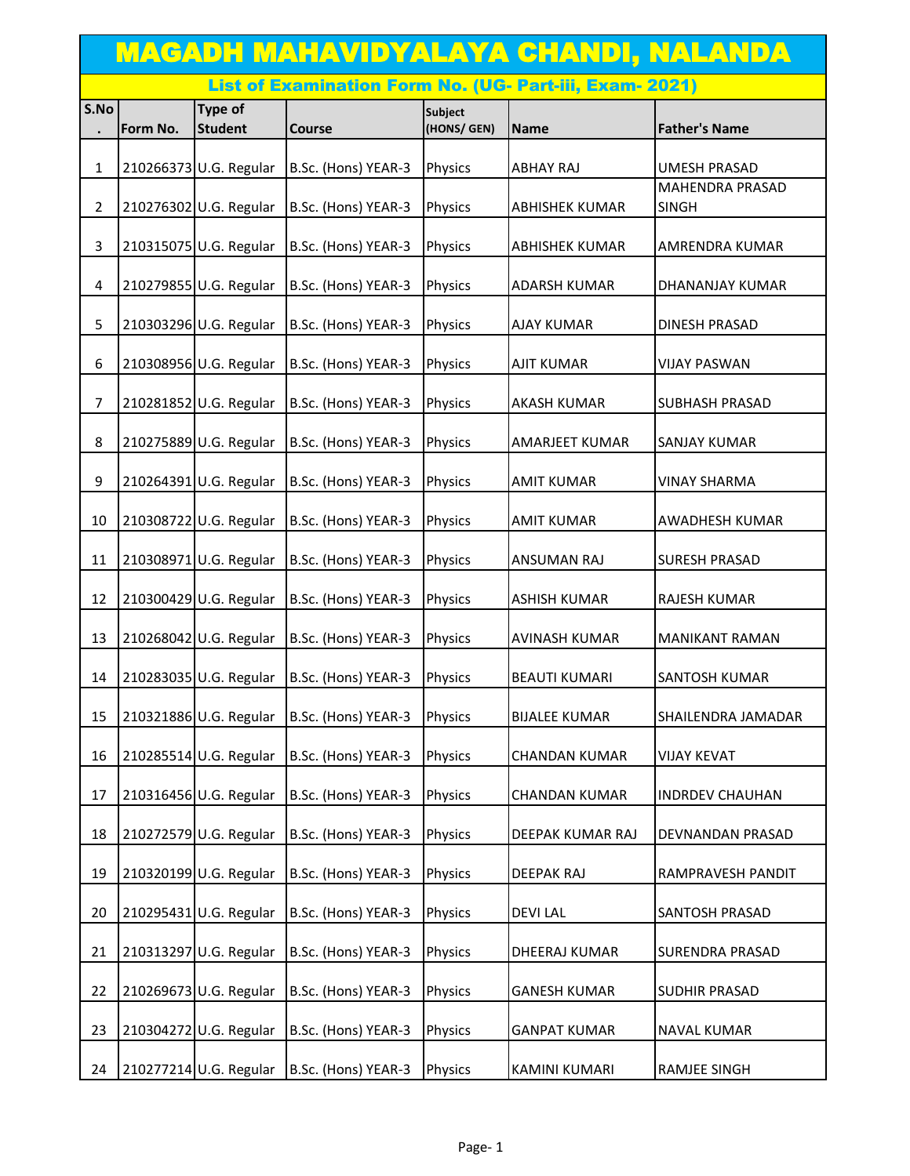|                | <u>MAGADH MAHAVIDYALAYA CHANDI, NALANDA</u>             |                           |                     |                               |                       |                                        |  |  |  |
|----------------|---------------------------------------------------------|---------------------------|---------------------|-------------------------------|-----------------------|----------------------------------------|--|--|--|
|                | List of Examination Form No. (UG- Part-iii, Exam- 2021) |                           |                     |                               |                       |                                        |  |  |  |
| S.No           |                                                         | Type of<br><b>Student</b> |                     | <b>Subject</b><br>(HONS/ GEN) |                       | <b>Father's Name</b>                   |  |  |  |
|                | Form No.                                                |                           | <b>Course</b>       |                               | Name                  |                                        |  |  |  |
| $\mathbf{1}$   |                                                         | 210266373 U.G. Regular    | B.Sc. (Hons) YEAR-3 | Physics                       | <b>ABHAY RAJ</b>      | <b>UMESH PRASAD</b>                    |  |  |  |
| $\overline{2}$ |                                                         | 210276302 U.G. Regular    | B.Sc. (Hons) YEAR-3 | Physics                       | <b>ABHISHEK KUMAR</b> | <b>MAHENDRA PRASAD</b><br><b>SINGH</b> |  |  |  |
| 3              |                                                         | 210315075 U.G. Regular    | B.Sc. (Hons) YEAR-3 | Physics                       | <b>ABHISHEK KUMAR</b> | AMRENDRA KUMAR                         |  |  |  |
| 4              |                                                         | 210279855 U.G. Regular    | B.Sc. (Hons) YEAR-3 | Physics                       | <b>ADARSH KUMAR</b>   | DHANANJAY KUMAR                        |  |  |  |
| 5              |                                                         | 210303296 U.G. Regular    | B.Sc. (Hons) YEAR-3 | Physics                       | <b>AJAY KUMAR</b>     | DINESH PRASAD                          |  |  |  |
| 6              |                                                         | 210308956 U.G. Regular    | B.Sc. (Hons) YEAR-3 | Physics                       | <b>AJIT KUMAR</b>     | <b>VIJAY PASWAN</b>                    |  |  |  |
| 7              |                                                         | 210281852 U.G. Regular    | B.Sc. (Hons) YEAR-3 | Physics                       | <b>AKASH KUMAR</b>    | SUBHASH PRASAD                         |  |  |  |
| 8              |                                                         | 210275889 U.G. Regular    | B.Sc. (Hons) YEAR-3 | Physics                       | <b>AMARJEET KUMAR</b> | <b>SANJAY KUMAR</b>                    |  |  |  |
| 9              |                                                         | 210264391 U.G. Regular    | B.Sc. (Hons) YEAR-3 | Physics                       | <b>AMIT KUMAR</b>     | <b>VINAY SHARMA</b>                    |  |  |  |
| 10             |                                                         | 210308722 U.G. Regular    | B.Sc. (Hons) YEAR-3 | Physics                       | <b>AMIT KUMAR</b>     | AWADHESH KUMAR                         |  |  |  |
| 11             |                                                         | 210308971 U.G. Regular    | B.Sc. (Hons) YEAR-3 | Physics                       | <b>ANSUMAN RAJ</b>    | <b>SURESH PRASAD</b>                   |  |  |  |
| 12             |                                                         | 210300429 U.G. Regular    | B.Sc. (Hons) YEAR-3 | Physics                       | <b>ASHISH KUMAR</b>   | RAJESH KUMAR                           |  |  |  |
| 13             |                                                         | 210268042 U.G. Regular    | B.Sc. (Hons) YEAR-3 | Physics                       | <b>AVINASH KUMAR</b>  | <b>MANIKANT RAMAN</b>                  |  |  |  |
| 14             |                                                         | 210283035 U.G. Regular    | B.Sc. (Hons) YEAR-3 | Physics                       | <b>BEAUTI KUMARI</b>  | SANTOSH KUMAR                          |  |  |  |
| 15             |                                                         | 210321886 U.G. Regular    | B.Sc. (Hons) YEAR-3 | Physics                       | <b>BIJALEE KUMAR</b>  | SHAILENDRA JAMADAR                     |  |  |  |
| 16             |                                                         | 210285514 U.G. Regular    | B.Sc. (Hons) YEAR-3 | Physics                       | <b>CHANDAN KUMAR</b>  | <b>VIJAY KEVAT</b>                     |  |  |  |
| 17             |                                                         | 210316456 U.G. Regular    | B.Sc. (Hons) YEAR-3 | Physics                       | <b>CHANDAN KUMAR</b>  | <b>INDRDEV CHAUHAN</b>                 |  |  |  |
| 18             |                                                         | 210272579 U.G. Regular    | B.Sc. (Hons) YEAR-3 | Physics                       | DEEPAK KUMAR RAJ      | DEVNANDAN PRASAD                       |  |  |  |
| 19             |                                                         | 210320199 U.G. Regular    | B.Sc. (Hons) YEAR-3 | Physics                       | <b>DEEPAK RAJ</b>     | RAMPRAVESH PANDIT                      |  |  |  |
| 20             |                                                         | 210295431 U.G. Regular    | B.Sc. (Hons) YEAR-3 | Physics                       | <b>DEVILAL</b>        | SANTOSH PRASAD                         |  |  |  |
| 21             |                                                         | 210313297 U.G. Regular    | B.Sc. (Hons) YEAR-3 | Physics                       | DHEERAJ KUMAR         | SURENDRA PRASAD                        |  |  |  |
| 22             |                                                         | 210269673 U.G. Regular    | B.Sc. (Hons) YEAR-3 | Physics                       | <b>GANESH KUMAR</b>   | SUDHIR PRASAD                          |  |  |  |
| 23             |                                                         | 210304272 U.G. Regular    | B.Sc. (Hons) YEAR-3 | Physics                       | <b>GANPAT KUMAR</b>   | NAVAL KUMAR                            |  |  |  |
| 24             |                                                         | 210277214 U.G. Regular    | B.Sc. (Hons) YEAR-3 | Physics                       | <b>KAMINI KUMARI</b>  | RAMJEE SINGH                           |  |  |  |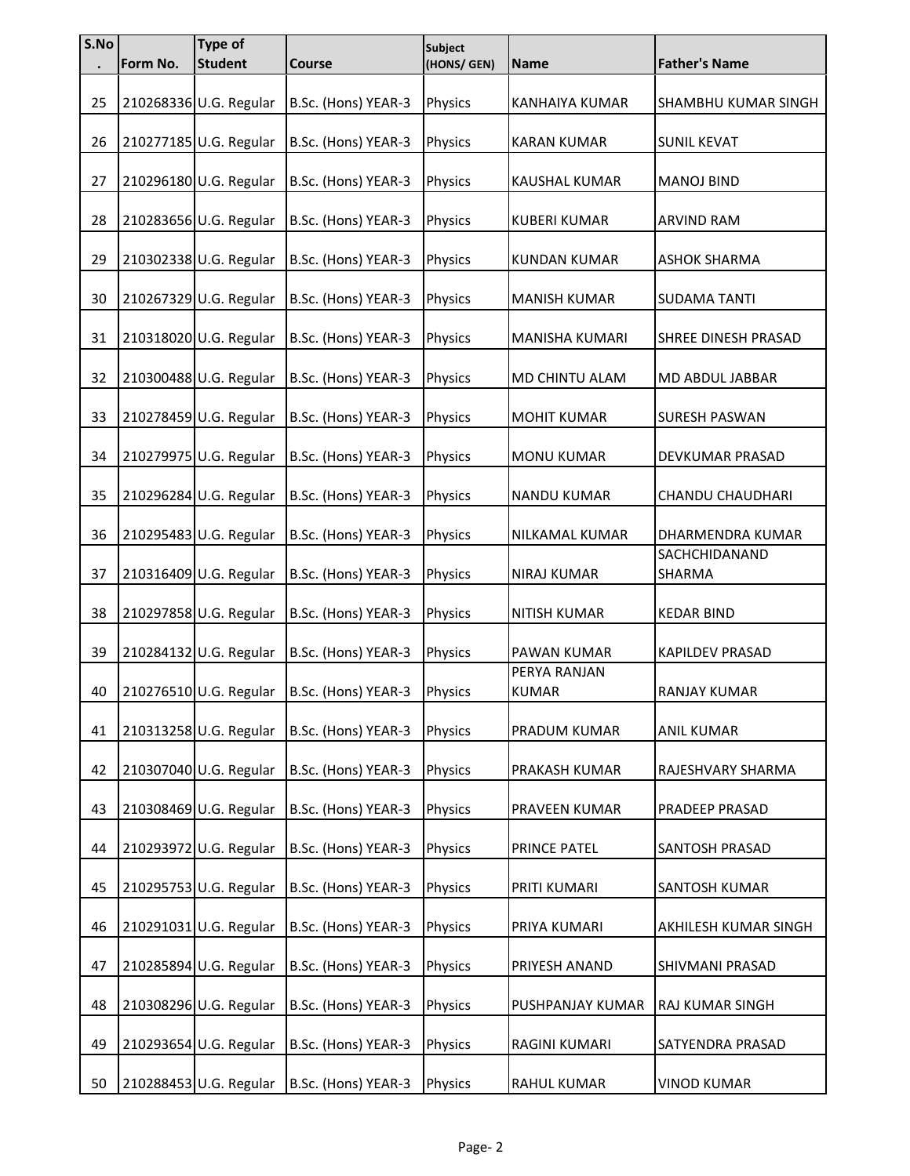| S.No |          | Type of                |                     | Subject        |                              |                         |
|------|----------|------------------------|---------------------|----------------|------------------------------|-------------------------|
|      | Form No. | <b>Student</b>         | Course              | (HONS/ GEN)    | <b>Name</b>                  | <b>Father's Name</b>    |
| 25   |          | 210268336 U.G. Regular | B.Sc. (Hons) YEAR-3 | Physics        | KANHAIYA KUMAR               | SHAMBHU KUMAR SINGH     |
| 26   |          | 210277185 U.G. Regular | B.Sc. (Hons) YEAR-3 | Physics        | <b>KARAN KUMAR</b>           | <b>SUNIL KEVAT</b>      |
| 27   |          | 210296180 U.G. Regular | B.Sc. (Hons) YEAR-3 | Physics        | <b>KAUSHAL KUMAR</b>         | <b>MANOJ BIND</b>       |
| 28   |          | 210283656 U.G. Regular | B.Sc. (Hons) YEAR-3 | Physics        | <b>KUBERI KUMAR</b>          | <b>ARVIND RAM</b>       |
| 29   |          | 210302338 U.G. Regular | B.Sc. (Hons) YEAR-3 | Physics        | <b>KUNDAN KUMAR</b>          | ASHOK SHARMA            |
| 30   |          | 210267329 U.G. Regular | B.Sc. (Hons) YEAR-3 | Physics        | <b>MANISH KUMAR</b>          | <b>SUDAMA TANTI</b>     |
| 31   |          | 210318020 U.G. Regular | B.Sc. (Hons) YEAR-3 | Physics        | MANISHA KUMARI               | SHREE DINESH PRASAD     |
| 32   |          | 210300488 U.G. Regular | B.Sc. (Hons) YEAR-3 | Physics        | MD CHINTU ALAM               | MD ABDUL JABBAR         |
| 33   |          | 210278459 U.G. Regular | B.Sc. (Hons) YEAR-3 | Physics        | <b>MOHIT KUMAR</b>           | <b>SURESH PASWAN</b>    |
| 34   |          | 210279975 U.G. Regular | B.Sc. (Hons) YEAR-3 | Physics        | <b>MONU KUMAR</b>            | DEVKUMAR PRASAD         |
| 35   |          | 210296284 U.G. Regular | B.Sc. (Hons) YEAR-3 | Physics        | <b>NANDU KUMAR</b>           | <b>CHANDU CHAUDHARI</b> |
| 36   |          | 210295483 U.G. Regular | B.Sc. (Hons) YEAR-3 | Physics        | NILKAMAL KUMAR               | DHARMENDRA KUMAR        |
| 37   |          | 210316409 U.G. Regular | B.Sc. (Hons) YEAR-3 | Physics        | <b>NIRAJ KUMAR</b>           | SACHCHIDANAND<br>SHARMA |
| 38   |          | 210297858 U.G. Regular | B.Sc. (Hons) YEAR-3 | Physics        | NITISH KUMAR                 | <b>KEDAR BIND</b>       |
| 39   |          | 210284132 U.G. Regular | B.Sc. (Hons) YEAR-3 | Physics        | PAWAN KUMAR                  | KAPILDEV PRASAD         |
| 40   |          | 210276510 U.G. Regular | B.Sc. (Hons) YEAR-3 | <b>Physics</b> | PERYA RANJAN<br><b>KUMAR</b> | RANJAY KUMAR            |
| 41   |          | 210313258 U.G. Regular | B.Sc. (Hons) YEAR-3 | Physics        | PRADUM KUMAR                 | <b>ANIL KUMAR</b>       |
| 42   |          | 210307040 U.G. Regular | B.Sc. (Hons) YEAR-3 | Physics        | PRAKASH KUMAR                | RAJESHVARY SHARMA       |
| 43   |          | 210308469 U.G. Regular | B.Sc. (Hons) YEAR-3 | Physics        | PRAVEEN KUMAR                | PRADEEP PRASAD          |
| 44   |          | 210293972 U.G. Regular | B.Sc. (Hons) YEAR-3 | Physics        | PRINCE PATEL                 | SANTOSH PRASAD          |
| 45   |          | 210295753 U.G. Regular | B.Sc. (Hons) YEAR-3 | Physics        | PRITI KUMARI                 | SANTOSH KUMAR           |
| 46   |          | 210291031 U.G. Regular | B.Sc. (Hons) YEAR-3 | Physics        | PRIYA KUMARI                 | AKHILESH KUMAR SINGH    |
| 47   |          | 210285894 U.G. Regular | B.Sc. (Hons) YEAR-3 | Physics        | PRIYESH ANAND                | SHIVMANI PRASAD         |
| 48   |          | 210308296 U.G. Regular | B.Sc. (Hons) YEAR-3 | Physics        | PUSHPANJAY KUMAR             | RAJ KUMAR SINGH         |
| 49   |          | 210293654 U.G. Regular | B.Sc. (Hons) YEAR-3 | Physics        | RAGINI KUMARI                | SATYENDRA PRASAD        |
| 50   |          | 210288453 U.G. Regular | B.Sc. (Hons) YEAR-3 | Physics        | RAHUL KUMAR                  | <b>VINOD KUMAR</b>      |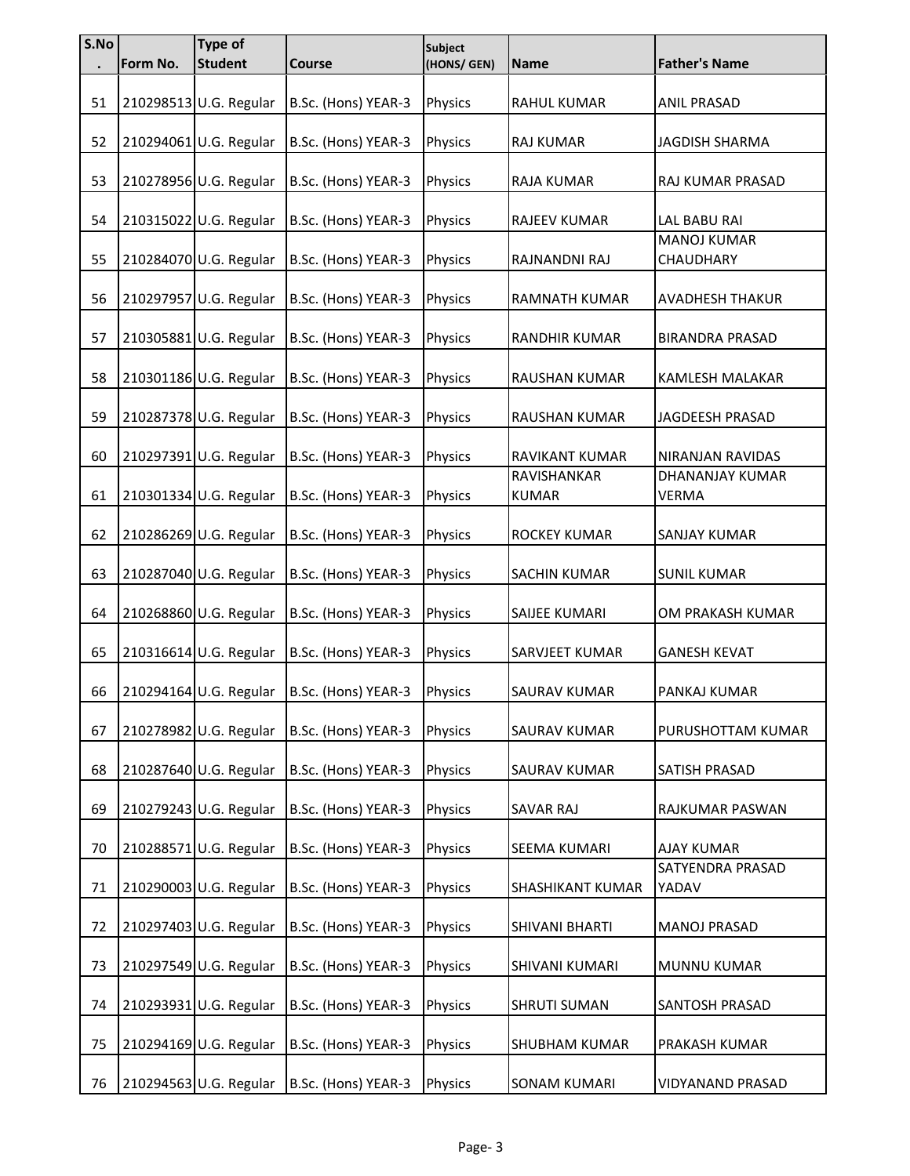| S.No | Form No. | Type of<br><b>Student</b> | Course              | Subject<br>(HONS/ GEN) | <b>Name</b>                 | <b>Father's Name</b>            |
|------|----------|---------------------------|---------------------|------------------------|-----------------------------|---------------------------------|
|      |          |                           |                     |                        |                             |                                 |
| 51   |          | 210298513 U.G. Regular    | B.Sc. (Hons) YEAR-3 | Physics                | <b>RAHUL KUMAR</b>          | <b>ANIL PRASAD</b>              |
| 52   |          | 210294061 U.G. Regular    | B.Sc. (Hons) YEAR-3 | Physics                | <b>RAJ KUMAR</b>            | <b>JAGDISH SHARMA</b>           |
| 53   |          | 210278956 U.G. Regular    | B.Sc. (Hons) YEAR-3 | Physics                | RAJA KUMAR                  | RAJ KUMAR PRASAD                |
| 54   |          | 210315022 U.G. Regular    | B.Sc. (Hons) YEAR-3 | Physics                | RAJEEV KUMAR                | LAL BABU RAI                    |
|      |          |                           |                     |                        |                             | <b>MANOJ KUMAR</b>              |
| 55   |          | 210284070 U.G. Regular    | B.Sc. (Hons) YEAR-3 | Physics                | RAJNANDNI RAJ               | CHAUDHARY                       |
| 56   |          | 210297957 U.G. Regular    | B.Sc. (Hons) YEAR-3 | Physics                | <b>RAMNATH KUMAR</b>        | <b>AVADHESH THAKUR</b>          |
| 57   |          | 210305881 U.G. Regular    | B.Sc. (Hons) YEAR-3 | Physics                | RANDHIR KUMAR               | <b>BIRANDRA PRASAD</b>          |
| 58   |          | 210301186 U.G. Regular    | B.Sc. (Hons) YEAR-3 | Physics                | RAUSHAN KUMAR               | KAMLESH MALAKAR                 |
| 59   |          | 210287378 U.G. Regular    | B.Sc. (Hons) YEAR-3 | Physics                | RAUSHAN KUMAR               | JAGDEESH PRASAD                 |
| 60   |          | 210297391 U.G. Regular    | B.Sc. (Hons) YEAR-3 | Physics                | RAVIKANT KUMAR              | NIRANJAN RAVIDAS                |
| 61   |          | 210301334 U.G. Regular    | B.Sc. (Hons) YEAR-3 | Physics                | RAVISHANKAR<br><b>KUMAR</b> | DHANANJAY KUMAR<br><b>VERMA</b> |
| 62   |          | 210286269 U.G. Regular    | B.Sc. (Hons) YEAR-3 | Physics                | ROCKEY KUMAR                | SANJAY KUMAR                    |
| 63   |          | 210287040 U.G. Regular    | B.Sc. (Hons) YEAR-3 | Physics                | <b>SACHIN KUMAR</b>         | <b>SUNIL KUMAR</b>              |
| 64   |          | 210268860 U.G. Regular    | B.Sc. (Hons) YEAR-3 | Physics                | SAIJEE KUMARI               | OM PRAKASH KUMAR                |
| 65   |          | 210316614 U.G. Regular    | B.Sc. (Hons) YEAR-3 | Physics                | SARVJEET KUMAR              | <b>GANESH KEVAT</b>             |
| 66   |          | 210294164 U.G. Regular    | B.Sc. (Hons) YEAR-3 | <b>Physics</b>         | <b>SAURAV KUMAR</b>         | PANKAJ KUMAR                    |
| 67   |          | 210278982 U.G. Regular    | B.Sc. (Hons) YEAR-3 | Physics                | SAURAV KUMAR                | PURUSHOTTAM KUMAR               |
| 68   |          | 210287640 U.G. Regular    | B.Sc. (Hons) YEAR-3 | Physics                | SAURAV KUMAR                | SATISH PRASAD                   |
| 69   |          | 210279243 U.G. Regular    | B.Sc. (Hons) YEAR-3 | Physics                | SAVAR RAJ                   | RAJKUMAR PASWAN                 |
| 70   |          | 210288571 U.G. Regular    | B.Sc. (Hons) YEAR-3 | Physics                | SEEMA KUMARI                | <b>AJAY KUMAR</b>               |
|      |          |                           |                     |                        |                             | SATYENDRA PRASAD                |
| 71   |          | 210290003 U.G. Regular    | B.Sc. (Hons) YEAR-3 | Physics                | SHASHIKANT KUMAR            | YADAV                           |
| 72   |          | 210297403 U.G. Regular    | B.Sc. (Hons) YEAR-3 | Physics                | SHIVANI BHARTI              | <b>MANOJ PRASAD</b>             |
| 73   |          | 210297549 U.G. Regular    | B.Sc. (Hons) YEAR-3 | Physics                | SHIVANI KUMARI              | MUNNU KUMAR                     |
| 74   |          | 210293931 U.G. Regular    | B.Sc. (Hons) YEAR-3 | Physics                | <b>SHRUTI SUMAN</b>         | SANTOSH PRASAD                  |
| 75   |          | 210294169 U.G. Regular    | B.Sc. (Hons) YEAR-3 | Physics                | <b>SHUBHAM KUMAR</b>        | PRAKASH KUMAR                   |
| 76   |          | 210294563 U.G. Regular    | B.Sc. (Hons) YEAR-3 | Physics                | <b>SONAM KUMARI</b>         | VIDYANAND PRASAD                |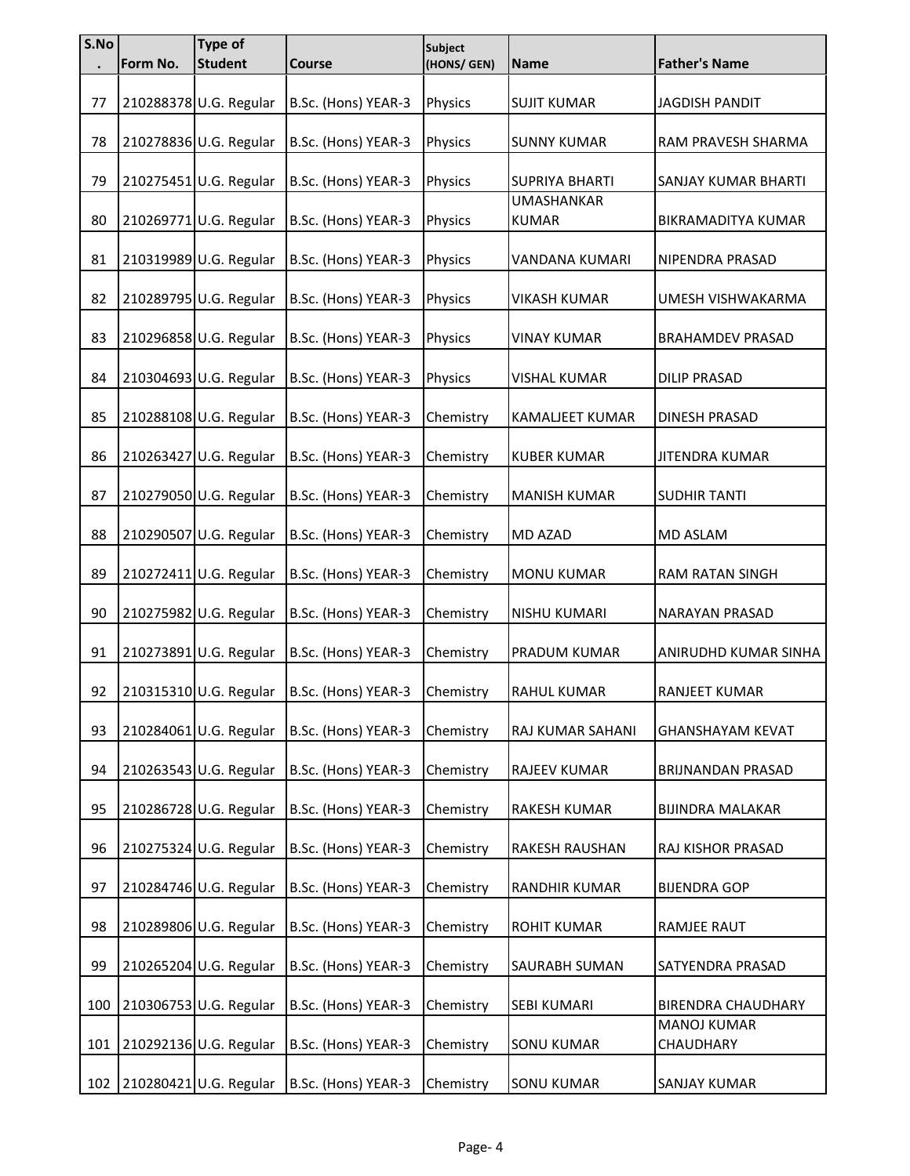| S.No | Form No. | <b>Type of</b><br><b>Student</b> | <b>Course</b>       | <b>Subject</b><br>(HONS/ GEN) | <b>Name</b>                       | <b>Father's Name</b>            |
|------|----------|----------------------------------|---------------------|-------------------------------|-----------------------------------|---------------------------------|
| 77   |          | 210288378 U.G. Regular           | B.Sc. (Hons) YEAR-3 | Physics                       | <b>SUJIT KUMAR</b>                | <b>JAGDISH PANDIT</b>           |
| 78   |          | 210278836 U.G. Regular           | B.Sc. (Hons) YEAR-3 | Physics                       | <b>SUNNY KUMAR</b>                | RAM PRAVESH SHARMA              |
| 79   |          | 210275451 U.G. Regular           | B.Sc. (Hons) YEAR-3 | Physics                       | <b>SUPRIYA BHARTI</b>             | SANJAY KUMAR BHARTI             |
| 80   |          | 210269771 U.G. Regular           | B.Sc. (Hons) YEAR-3 | Physics                       | <b>UMASHANKAR</b><br><b>KUMAR</b> | BIKRAMADITYA KUMAR              |
| 81   |          | 210319989 U.G. Regular           | B.Sc. (Hons) YEAR-3 | Physics                       | VANDANA KUMARI                    | NIPENDRA PRASAD                 |
| 82   |          | 210289795 U.G. Regular           | B.Sc. (Hons) YEAR-3 | Physics                       | <b>VIKASH KUMAR</b>               | UMESH VISHWAKARMA               |
| 83   |          | 210296858 U.G. Regular           | B.Sc. (Hons) YEAR-3 | Physics                       | <b>VINAY KUMAR</b>                | <b>BRAHAMDEV PRASAD</b>         |
| 84   |          | 210304693 U.G. Regular           | B.Sc. (Hons) YEAR-3 | Physics                       | <b>VISHAL KUMAR</b>               | <b>DILIP PRASAD</b>             |
| 85   |          | 210288108 U.G. Regular           | B.Sc. (Hons) YEAR-3 | Chemistry                     | KAMALJEET KUMAR                   | DINESH PRASAD                   |
| 86   |          | 210263427 U.G. Regular           | B.Sc. (Hons) YEAR-3 | Chemistry                     | <b>KUBER KUMAR</b>                | <b>JITENDRA KUMAR</b>           |
| 87   |          | 210279050 U.G. Regular           | B.Sc. (Hons) YEAR-3 | Chemistry                     | <b>MANISH KUMAR</b>               | <b>SUDHIR TANTI</b>             |
| 88   |          | 210290507 U.G. Regular           | B.Sc. (Hons) YEAR-3 | Chemistry                     | MD AZAD                           | <b>MD ASLAM</b>                 |
| 89   |          | 210272411 U.G. Regular           | B.Sc. (Hons) YEAR-3 | Chemistry                     | MONU KUMAR                        | RAM RATAN SINGH                 |
| 90   |          | 210275982 U.G. Regular           | B.Sc. (Hons) YEAR-3 | Chemistry                     | NISHU KUMARI                      | NARAYAN PRASAD                  |
| 91   |          | 210273891 U.G. Regular           | B.Sc. (Hons) YEAR-3 | Chemistry                     | PRADUM KUMAR                      | ANIRUDHD KUMAR SINHA            |
| 92   |          | 210315310 U.G. Regular           | B.Sc. (Hons) YEAR-3 | Chemistry                     | RAHUL KUMAR                       | <b>RANJEET KUMAR</b>            |
| 93   |          | 210284061 U.G. Regular           | B.Sc. (Hons) YEAR-3 | Chemistry                     | RAJ KUMAR SAHANI                  | <b>GHANSHAYAM KEVAT</b>         |
| 94   |          | 210263543 U.G. Regular           | B.Sc. (Hons) YEAR-3 | Chemistry                     | RAJEEV KUMAR                      | BRIJNANDAN PRASAD               |
| 95   |          | 210286728 U.G. Regular           | B.Sc. (Hons) YEAR-3 | Chemistry                     | RAKESH KUMAR                      | <b>BIJINDRA MALAKAR</b>         |
| 96   |          | 210275324 U.G. Regular           | B.Sc. (Hons) YEAR-3 | Chemistry                     | RAKESH RAUSHAN                    | RAJ KISHOR PRASAD               |
| 97   |          | 210284746 U.G. Regular           | B.Sc. (Hons) YEAR-3 | Chemistry                     | RANDHIR KUMAR                     | <b>BIJENDRA GOP</b>             |
| 98   |          | 210289806 U.G. Regular           | B.Sc. (Hons) YEAR-3 | Chemistry                     | <b>ROHIT KUMAR</b>                | RAMJEE RAUT                     |
| 99   |          | 210265204 U.G. Regular           | B.Sc. (Hons) YEAR-3 | Chemistry                     | SAURABH SUMAN                     | SATYENDRA PRASAD                |
| 100  |          | 210306753 U.G. Regular           | B.Sc. (Hons) YEAR-3 | Chemistry                     | SEBI KUMARI                       | <b>BIRENDRA CHAUDHARY</b>       |
| 101  |          | 210292136 U.G. Regular           | B.Sc. (Hons) YEAR-3 | Chemistry                     | <b>SONU KUMAR</b>                 | <b>MANOJ KUMAR</b><br>CHAUDHARY |
| 102  |          | 210280421 U.G. Regular           | B.Sc. (Hons) YEAR-3 | Chemistry                     | <b>SONU KUMAR</b>                 | <b>SANJAY KUMAR</b>             |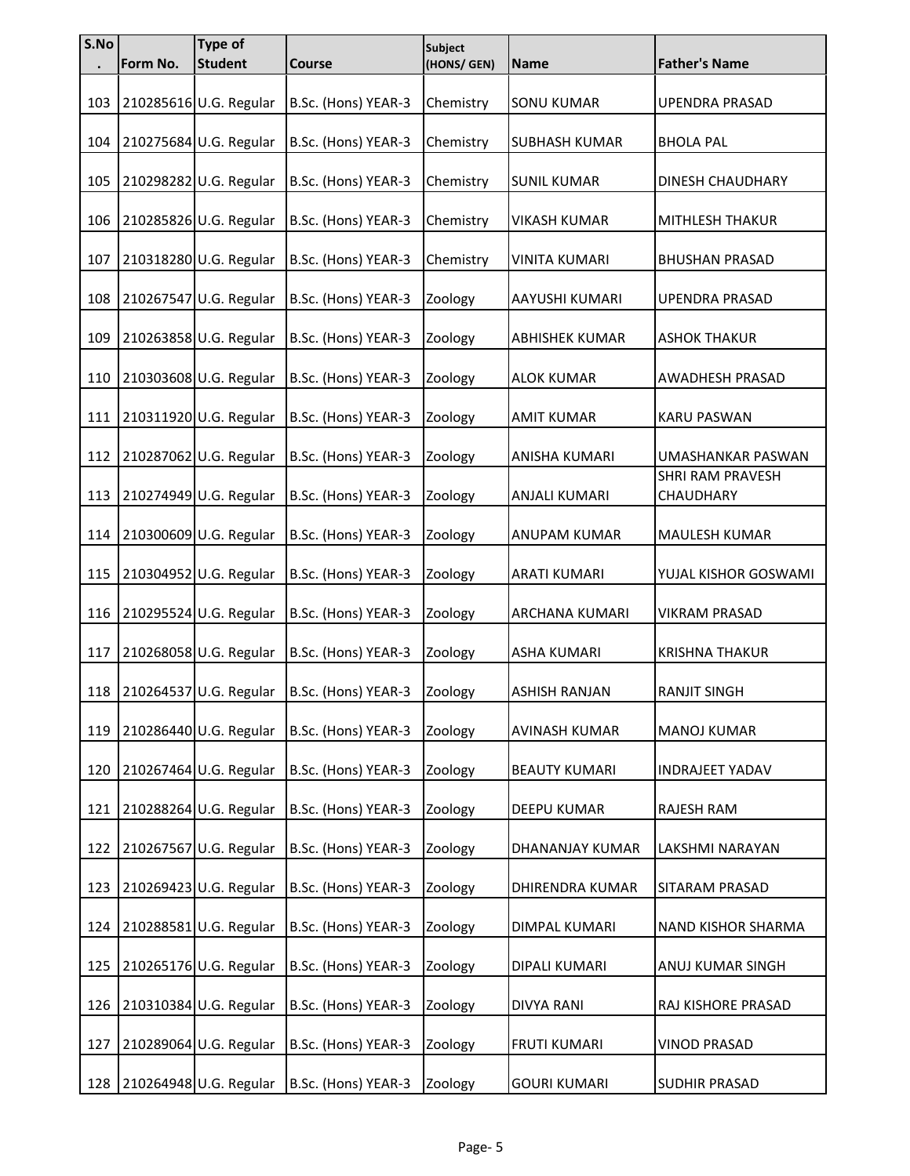| S.No | Form No. | Type of<br><b>Student</b> | Course              | Subject<br>(HONS/ GEN) | <b>Name</b>           | <b>Father's Name</b>          |
|------|----------|---------------------------|---------------------|------------------------|-----------------------|-------------------------------|
|      |          |                           |                     |                        |                       |                               |
| 103  |          | 210285616 U.G. Regular    | B.Sc. (Hons) YEAR-3 | Chemistry              | <b>SONU KUMAR</b>     | <b>UPENDRA PRASAD</b>         |
| 104  |          | 210275684 U.G. Regular    | B.Sc. (Hons) YEAR-3 | Chemistry              | <b>SUBHASH KUMAR</b>  | <b>BHOLA PAL</b>              |
| 105  |          | 210298282 U.G. Regular    | B.Sc. (Hons) YEAR-3 | Chemistry              | <b>SUNIL KUMAR</b>    | <b>DINESH CHAUDHARY</b>       |
| 106  |          | 210285826 U.G. Regular    | B.Sc. (Hons) YEAR-3 | Chemistry              | <b>VIKASH KUMAR</b>   | MITHLESH THAKUR               |
| 107  |          | 210318280 U.G. Regular    | B.Sc. (Hons) YEAR-3 | Chemistry              | <b>VINITA KUMARI</b>  | <b>BHUSHAN PRASAD</b>         |
| 108  |          | 210267547 U.G. Regular    | B.Sc. (Hons) YEAR-3 | Zoology                | AAYUSHI KUMARI        | <b>UPENDRA PRASAD</b>         |
| 109  |          | 210263858 U.G. Regular    | B.Sc. (Hons) YEAR-3 | Zoology                | <b>ABHISHEK KUMAR</b> | <b>ASHOK THAKUR</b>           |
| 110  |          | 210303608 U.G. Regular    | B.Sc. (Hons) YEAR-3 | Zoology                | <b>ALOK KUMAR</b>     | AWADHESH PRASAD               |
| 111  |          | 210311920 U.G. Regular    | B.Sc. (Hons) YEAR-3 | Zoology                | <b>AMIT KUMAR</b>     | <b>KARU PASWAN</b>            |
| 112  |          | 210287062 U.G. Regular    | B.Sc. (Hons) YEAR-3 | Zoology                | ANISHA KUMARI         | UMASHANKAR PASWAN             |
| 113  |          | 210274949 U.G. Regular    | B.Sc. (Hons) YEAR-3 | Zoology                | <b>ANJALI KUMARI</b>  | SHRI RAM PRAVESH<br>CHAUDHARY |
| 114  |          | 210300609 U.G. Regular    | B.Sc. (Hons) YEAR-3 | Zoology                | <b>ANUPAM KUMAR</b>   | <b>MAULESH KUMAR</b>          |
| 115  |          | 210304952 U.G. Regular    | B.Sc. (Hons) YEAR-3 | Zoology                | <b>ARATI KUMARI</b>   | YUJAL KISHOR GOSWAMI          |
| 116  |          | 210295524 U.G. Regular    | B.Sc. (Hons) YEAR-3 | Zoology                | <b>ARCHANA KUMARI</b> | <b>VIKRAM PRASAD</b>          |
| 117  |          | 210268058 U.G. Regular    | B.Sc. (Hons) YEAR-3 | Zoology                | <b>ASHA KUMARI</b>    | <b>KRISHNA THAKUR</b>         |
| 118  |          | 210264537 U.G. Regular    | B.Sc. (Hons) YEAR-3 | Zoology                | <b>ASHISH RANJAN</b>  | <b>RANJIT SINGH</b>           |
| 119  |          | 210286440 U.G. Regular    | B.Sc. (Hons) YEAR-3 | Zoology                | <b>AVINASH KUMAR</b>  | <b>MANOJ KUMAR</b>            |
| 120  |          | 210267464 U.G. Regular    | B.Sc. (Hons) YEAR-3 | Zoology                | <b>BEAUTY KUMARI</b>  | <b>INDRAJEET YADAV</b>        |
| 121  |          | 210288264 U.G. Regular    | B.Sc. (Hons) YEAR-3 | Zoology                | DEEPU KUMAR           | RAJESH RAM                    |
| 122  |          | 210267567 U.G. Regular    | B.Sc. (Hons) YEAR-3 | Zoology                | DHANANJAY KUMAR       | LAKSHMI NARAYAN               |
| 123  |          | 210269423 U.G. Regular    | B.Sc. (Hons) YEAR-3 | Zoology                | DHIRENDRA KUMAR       | SITARAM PRASAD                |
| 124  |          | 210288581 U.G. Regular    | B.Sc. (Hons) YEAR-3 | Zoology                | DIMPAL KUMARI         | NAND KISHOR SHARMA            |
| 125  |          | 210265176 U.G. Regular    | B.Sc. (Hons) YEAR-3 | Zoology                | DIPALI KUMARI         | ANUJ KUMAR SINGH              |
| 126  |          | 210310384 U.G. Regular    | B.Sc. (Hons) YEAR-3 | Zoology                | <b>DIVYA RANI</b>     | RAJ KISHORE PRASAD            |
| 127  |          | 210289064 U.G. Regular    | B.Sc. (Hons) YEAR-3 | Zoology                | <b>FRUTI KUMARI</b>   | <b>VINOD PRASAD</b>           |
| 128  |          | 210264948 U.G. Regular    | B.Sc. (Hons) YEAR-3 | Zoology                | <b>GOURI KUMARI</b>   | SUDHIR PRASAD                 |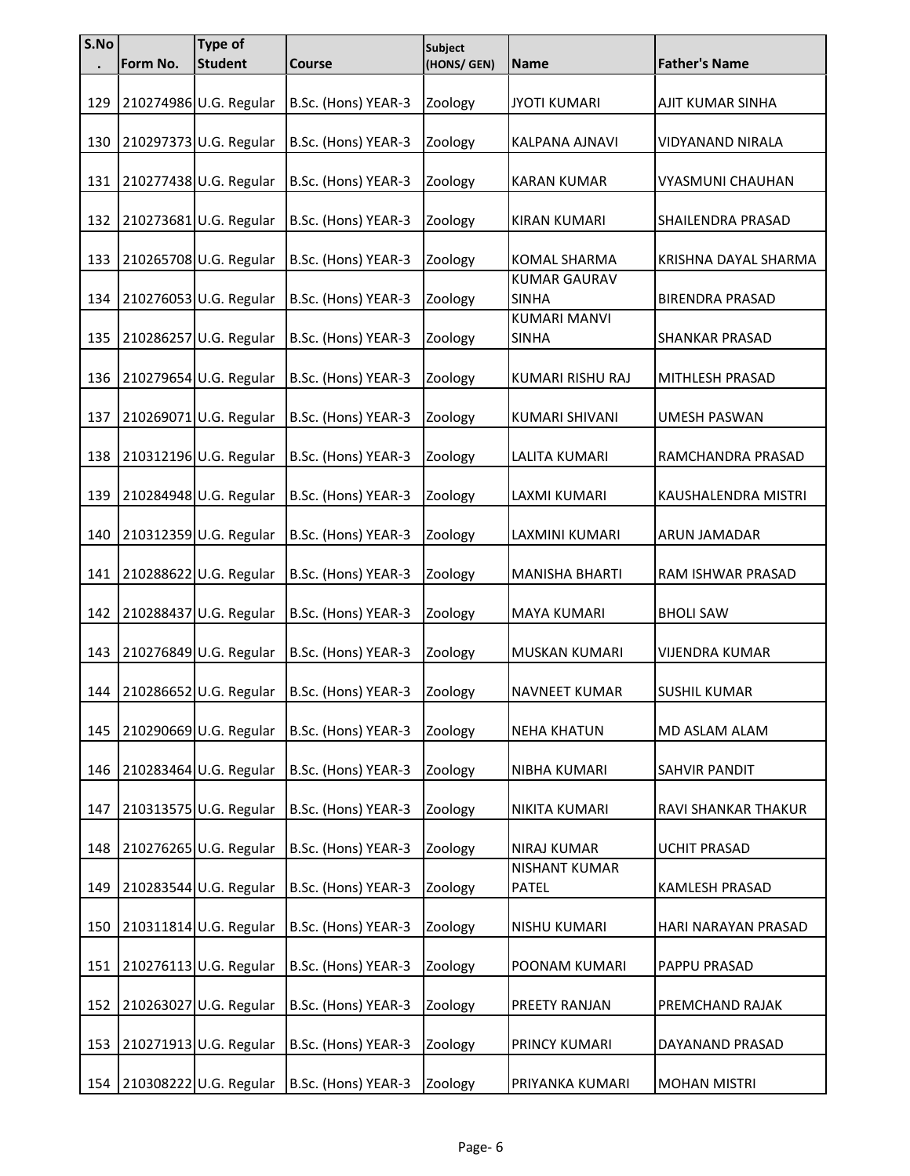| S.No | Form No. | <b>Type of</b><br><b>Student</b> | <b>Course</b>       | <b>Subject</b><br>(HONS/ GEN) | <b>Name</b>                         | <b>Father's Name</b>    |
|------|----------|----------------------------------|---------------------|-------------------------------|-------------------------------------|-------------------------|
|      |          |                                  |                     |                               |                                     |                         |
| 129  |          | 210274986 U.G. Regular           | B.Sc. (Hons) YEAR-3 | Zoology                       | <b>JYOTI KUMARI</b>                 | AJIT KUMAR SINHA        |
| 130  |          | 210297373 U.G. Regular           | B.Sc. (Hons) YEAR-3 | Zoology                       | KALPANA AJNAVI                      | VIDYANAND NIRALA        |
| 131  |          | 210277438 U.G. Regular           | B.Sc. (Hons) YEAR-3 | Zoology                       | <b>KARAN KUMAR</b>                  | <b>VYASMUNI CHAUHAN</b> |
| 132  |          | 210273681 U.G. Regular           | B.Sc. (Hons) YEAR-3 | Zoology                       | <b>KIRAN KUMARI</b>                 | SHAILENDRA PRASAD       |
| 133  |          | 210265708 U.G. Regular           | B.Sc. (Hons) YEAR-3 | Zoology                       | KOMAL SHARMA                        | KRISHNA DAYAL SHARMA    |
| 134  |          | 210276053 U.G. Regular           | B.Sc. (Hons) YEAR-3 | Zoology                       | <b>KUMAR GAURAV</b><br><b>SINHA</b> | <b>BIRENDRA PRASAD</b>  |
| 135  |          | 210286257 U.G. Regular           | B.Sc. (Hons) YEAR-3 | Zoology                       | <b>KUMARI MANVI</b><br><b>SINHA</b> | <b>SHANKAR PRASAD</b>   |
| 136  |          | 210279654 U.G. Regular           | B.Sc. (Hons) YEAR-3 | Zoology                       | KUMARI RISHU RAJ                    | MITHLESH PRASAD         |
| 137  |          | 210269071 U.G. Regular           | B.Sc. (Hons) YEAR-3 | Zoology                       | KUMARI SHIVANI                      | <b>UMESH PASWAN</b>     |
| 138  |          | 210312196 U.G. Regular           | B.Sc. (Hons) YEAR-3 | Zoology                       | LALITA KUMARI                       | RAMCHANDRA PRASAD       |
| 139  |          | 210284948 U.G. Regular           | B.Sc. (Hons) YEAR-3 | Zoology                       | LAXMI KUMARI                        | KAUSHALENDRA MISTRI     |
| 140  |          | 210312359 U.G. Regular           | B.Sc. (Hons) YEAR-3 | Zoology                       | LAXMINI KUMARI                      | ARUN JAMADAR            |
| 141  |          | 210288622 U.G. Regular           | B.Sc. (Hons) YEAR-3 | Zoology                       | <b>MANISHA BHARTI</b>               | RAM ISHWAR PRASAD       |
| 142  |          | 210288437 U.G. Regular           | B.Sc. (Hons) YEAR-3 | Zoology                       | <b>MAYA KUMARI</b>                  | <b>BHOLI SAW</b>        |
| 143  |          | 210276849 U.G. Regular           | B.Sc. (Hons) YEAR-3 | Zoology                       | MUSKAN KUMARI                       | <b>VIJENDRA KUMAR</b>   |
| 144  |          | 210286652 U.G. Regular           | B.Sc. (Hons) YEAR-3 | Zoology                       | NAVNEET KUMAR                       | <b>SUSHIL KUMAR</b>     |
| 145  |          | 210290669 U.G. Regular           | B.Sc. (Hons) YEAR-3 | Zoology                       | <b>NEHA KHATUN</b>                  | MD ASLAM ALAM           |
| 146  |          | 210283464 U.G. Regular           | B.Sc. (Hons) YEAR-3 | Zoology                       | NIBHA KUMARI                        | SAHVIR PANDIT           |
| 147  |          | 210313575 U.G. Regular           | B.Sc. (Hons) YEAR-3 | Zoology                       | NIKITA KUMARI                       | RAVI SHANKAR THAKUR     |
| 148  |          | 210276265 U.G. Regular           | B.Sc. (Hons) YEAR-3 | Zoology                       | <b>NIRAJ KUMAR</b>                  | <b>UCHIT PRASAD</b>     |
| 149  |          | 210283544 U.G. Regular           | B.Sc. (Hons) YEAR-3 | Zoology                       | NISHANT KUMAR<br>PATEL              | KAMLESH PRASAD          |
| 150  |          | 210311814 U.G. Regular           | B.Sc. (Hons) YEAR-3 | Zoology                       | NISHU KUMARI                        | HARI NARAYAN PRASAD     |
| 151  |          | 210276113 U.G. Regular           | B.Sc. (Hons) YEAR-3 | Zoology                       | POONAM KUMARI                       | PAPPU PRASAD            |
| 152  |          | 210263027 U.G. Regular           | B.Sc. (Hons) YEAR-3 | Zoology                       | PREETY RANJAN                       | PREMCHAND RAJAK         |
| 153  |          | 210271913 U.G. Regular           | B.Sc. (Hons) YEAR-3 | Zoology                       | PRINCY KUMARI                       | DAYANAND PRASAD         |
| 154  |          | 210308222 U.G. Regular           | B.Sc. (Hons) YEAR-3 | Zoology                       | PRIYANKA KUMARI                     | <b>MOHAN MISTRI</b>     |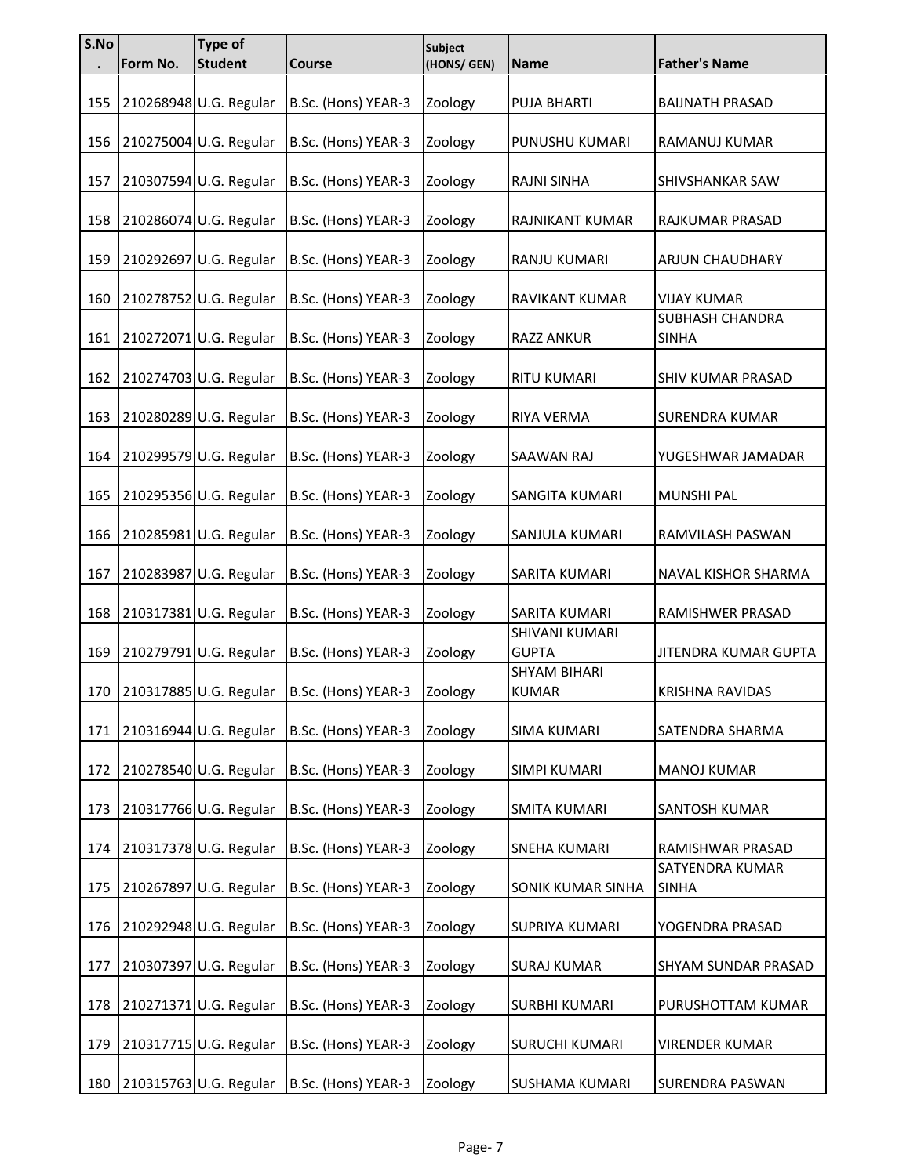| S.No | Form No. | Type of<br><b>Student</b> | Course              | Subject<br>(HONS/ GEN) | <b>Name</b>                         | <b>Father's Name</b>                   |
|------|----------|---------------------------|---------------------|------------------------|-------------------------------------|----------------------------------------|
|      |          |                           |                     |                        |                                     |                                        |
| 155  |          | 210268948 U.G. Regular    | B.Sc. (Hons) YEAR-3 | Zoology                | <b>PUJA BHARTI</b>                  | <b>BAIJNATH PRASAD</b>                 |
| 156  |          | 210275004 U.G. Regular    | B.Sc. (Hons) YEAR-3 | Zoology                | PUNUSHU KUMARI                      | RAMANUJ KUMAR                          |
| 157  |          | 210307594 U.G. Regular    | B.Sc. (Hons) YEAR-3 | Zoology                | <b>RAJNI SINHA</b>                  | SHIVSHANKAR SAW                        |
| 158  |          | 210286074 U.G. Regular    | B.Sc. (Hons) YEAR-3 | Zoology                | RAJNIKANT KUMAR                     | RAJKUMAR PRASAD                        |
| 159  |          | 210292697 U.G. Regular    | B.Sc. (Hons) YEAR-3 | Zoology                | RANJU KUMARI                        | <b>ARJUN CHAUDHARY</b>                 |
| 160  |          | 210278752 U.G. Regular    | B.Sc. (Hons) YEAR-3 | Zoology                | RAVIKANT KUMAR                      | <b>VIJAY KUMAR</b>                     |
| 161  |          | 210272071 U.G. Regular    | B.Sc. (Hons) YEAR-3 | Zoology                | <b>RAZZ ANKUR</b>                   | <b>SUBHASH CHANDRA</b><br><b>SINHA</b> |
| 162  |          | 210274703 U.G. Regular    | B.Sc. (Hons) YEAR-3 | Zoology                | <b>RITU KUMARI</b>                  | SHIV KUMAR PRASAD                      |
| 163  |          | 210280289 U.G. Regular    | B.Sc. (Hons) YEAR-3 | Zoology                | RIYA VERMA                          | SURENDRA KUMAR                         |
| 164  |          | 210299579 U.G. Regular    | B.Sc. (Hons) YEAR-3 | Zoology                | <b>SAAWAN RAJ</b>                   | YUGESHWAR JAMADAR                      |
| 165  |          | 210295356 U.G. Regular    | B.Sc. (Hons) YEAR-3 | Zoology                | SANGITA KUMARI                      | <b>MUNSHI PAL</b>                      |
| 166  |          | 210285981 U.G. Regular    | B.Sc. (Hons) YEAR-3 | Zoology                | SANJULA KUMARI                      | RAMVILASH PASWAN                       |
| 167  |          | 210283987 U.G. Regular    | B.Sc. (Hons) YEAR-3 | Zoology                | SARITA KUMARI                       | NAVAL KISHOR SHARMA                    |
| 168  |          | 210317381 U.G. Regular    | B.Sc. (Hons) YEAR-3 | Zoology                | SARITA KUMARI                       | RAMISHWER PRASAD                       |
| 169  |          | 210279791 U.G. Regular    | B.Sc. (Hons) YEAR-3 | Zoology                | SHIVANI KUMARI<br><b>GUPTA</b>      | JITENDRA KUMAR GUPTA                   |
| 170  |          | 210317885 U.G. Regular    | B.Sc. (Hons) YEAR-3 | Zoology                | <b>SHYAM BIHARI</b><br><b>KUMAR</b> | <b>KRISHNA RAVIDAS</b>                 |
| 171  |          | 210316944 U.G. Regular    | B.Sc. (Hons) YEAR-3 | Zoology                | <b>SIMA KUMARI</b>                  | SATENDRA SHARMA                        |
| 172  |          | 210278540 U.G. Regular    | B.Sc. (Hons) YEAR-3 | Zoology                | <b>SIMPI KUMARI</b>                 | <b>MANOJ KUMAR</b>                     |
| 173  |          | 210317766 U.G. Regular    | B.Sc. (Hons) YEAR-3 | Zoology                | <b>SMITA KUMARI</b>                 | SANTOSH KUMAR                          |
| 174  |          | 210317378 U.G. Regular    | B.Sc. (Hons) YEAR-3 | Zoology                | <b>SNEHA KUMARI</b>                 | RAMISHWAR PRASAD                       |
| 175  |          | 210267897 U.G. Regular    | B.Sc. (Hons) YEAR-3 | Zoology                | SONIK KUMAR SINHA                   | SATYENDRA KUMAR<br><b>SINHA</b>        |
| 176  |          | 210292948 U.G. Regular    | B.Sc. (Hons) YEAR-3 | Zoology                | SUPRIYA KUMARI                      | YOGENDRA PRASAD                        |
| 177  |          | 210307397 U.G. Regular    | B.Sc. (Hons) YEAR-3 | Zoology                | <b>SURAJ KUMAR</b>                  | SHYAM SUNDAR PRASAD                    |
| 178  |          | 210271371 U.G. Regular    | B.Sc. (Hons) YEAR-3 | Zoology                | <b>SURBHI KUMARI</b>                | PURUSHOTTAM KUMAR                      |
| 179  |          | 210317715 U.G. Regular    | B.Sc. (Hons) YEAR-3 | Zoology                | <b>SURUCHI KUMARI</b>               | <b>VIRENDER KUMAR</b>                  |
| 180  |          | 210315763 U.G. Regular    | B.Sc. (Hons) YEAR-3 | Zoology                | SUSHAMA KUMARI                      | <b>SURENDRA PASWAN</b>                 |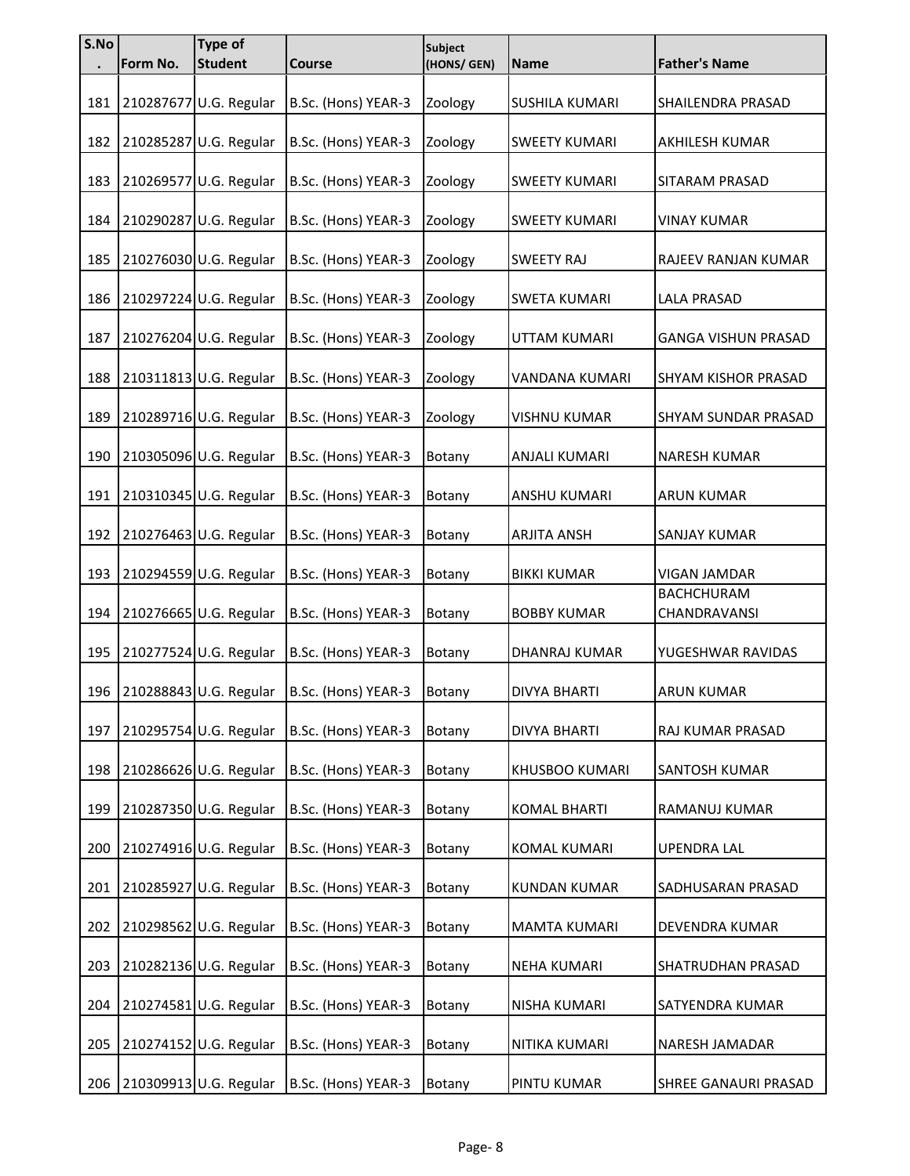| S.No | Form No. | <b>Type of</b><br><b>Student</b> | <b>Course</b>       | <b>Subject</b><br>(HONS/ GEN) | <b>Name</b>          | <b>Father's Name</b>              |
|------|----------|----------------------------------|---------------------|-------------------------------|----------------------|-----------------------------------|
| 181  |          | 210287677 U.G. Regular           | B.Sc. (Hons) YEAR-3 | Zoology                       | SUSHILA KUMARI       | SHAILENDRA PRASAD                 |
| 182  |          | 210285287 U.G. Regular           | B.Sc. (Hons) YEAR-3 | Zoology                       | <b>SWEETY KUMARI</b> | AKHILESH KUMAR                    |
| 183  |          | 210269577 U.G. Regular           | B.Sc. (Hons) YEAR-3 | Zoology                       | <b>SWEETY KUMARI</b> | SITARAM PRASAD                    |
| 184  |          | 210290287 U.G. Regular           | B.Sc. (Hons) YEAR-3 | Zoology                       | <b>SWEETY KUMARI</b> | <b>VINAY KUMAR</b>                |
| 185  |          | 210276030 U.G. Regular           | B.Sc. (Hons) YEAR-3 | Zoology                       | <b>SWEETY RAJ</b>    | RAJEEV RANJAN KUMAR               |
| 186  |          | 210297224 U.G. Regular           | B.Sc. (Hons) YEAR-3 | Zoology                       | SWETA KUMARI         | LALA PRASAD                       |
| 187  |          | 210276204 U.G. Regular           | B.Sc. (Hons) YEAR-3 | Zoology                       | <b>UTTAM KUMARI</b>  | <b>GANGA VISHUN PRASAD</b>        |
| 188  |          | 210311813 U.G. Regular           | B.Sc. (Hons) YEAR-3 | Zoology                       | VANDANA KUMARI       | <b>SHYAM KISHOR PRASAD</b>        |
| 189  |          | 210289716 U.G. Regular           | B.Sc. (Hons) YEAR-3 | Zoology                       | <b>VISHNU KUMAR</b>  | SHYAM SUNDAR PRASAD               |
| 190  |          | 210305096 U.G. Regular           | B.Sc. (Hons) YEAR-3 | Botany                        | ANJALI KUMARI        | <b>NARESH KUMAR</b>               |
| 191  |          | 210310345 U.G. Regular           | B.Sc. (Hons) YEAR-3 | Botany                        | ANSHU KUMARI         | <b>ARUN KUMAR</b>                 |
| 192  |          | 210276463 U.G. Regular           | B.Sc. (Hons) YEAR-3 | Botany                        | <b>ARJITA ANSH</b>   | SANJAY KUMAR                      |
| 193  |          | 210294559 U.G. Regular           | B.Sc. (Hons) YEAR-3 | Botany                        | <b>BIKKI KUMAR</b>   | VIGAN JAMDAR                      |
| 194  |          | 210276665 U.G. Regular           | B.Sc. (Hons) YEAR-3 | Botany                        | <b>BOBBY KUMAR</b>   | <b>BACHCHURAM</b><br>CHANDRAVANSI |
| 195  |          | 210277524 U.G. Regular           | B.Sc. (Hons) YEAR-3 | Botany                        | DHANRAJ KUMAR        | YUGESHWAR RAVIDAS                 |
| 196  |          | 210288843 U.G. Regular           | B.Sc. (Hons) YEAR-3 | Botany                        | <b>DIVYA BHARTI</b>  | <b>ARUN KUMAR</b>                 |
| 197  |          | 210295754 U.G. Regular           | B.Sc. (Hons) YEAR-3 | Botany                        | <b>DIVYA BHARTI</b>  | RAJ KUMAR PRASAD                  |
| 198  |          | 210286626 U.G. Regular           | B.Sc. (Hons) YEAR-3 | Botany                        | KHUSBOO KUMARI       | SANTOSH KUMAR                     |
| 199  |          | 210287350 U.G. Regular           | B.Sc. (Hons) YEAR-3 | Botany                        | <b>KOMAL BHARTI</b>  | RAMANUJ KUMAR                     |
| 200  |          | 210274916 U.G. Regular           | B.Sc. (Hons) YEAR-3 | Botany                        | KOMAL KUMARI         | <b>UPENDRA LAL</b>                |
| 201  |          | 210285927 U.G. Regular           | B.Sc. (Hons) YEAR-3 | Botany                        | <b>KUNDAN KUMAR</b>  | SADHUSARAN PRASAD                 |
| 202  |          | 210298562 U.G. Regular           | B.Sc. (Hons) YEAR-3 | Botany                        | MAMTA KUMARI         | DEVENDRA KUMAR                    |
| 203  |          | 210282136 U.G. Regular           | B.Sc. (Hons) YEAR-3 | Botany                        | <b>NEHA KUMARI</b>   | SHATRUDHAN PRASAD                 |
| 204  |          | 210274581 U.G. Regular           | B.Sc. (Hons) YEAR-3 | Botany                        | NISHA KUMARI         | SATYENDRA KUMAR                   |
| 205  |          | 210274152 U.G. Regular           | B.Sc. (Hons) YEAR-3 | Botany                        | NITIKA KUMARI        | <b>NARESH JAMADAR</b>             |
| 206  |          | 210309913 U.G. Regular           | B.Sc. (Hons) YEAR-3 | Botany                        | PINTU KUMAR          | SHREE GANAURI PRASAD              |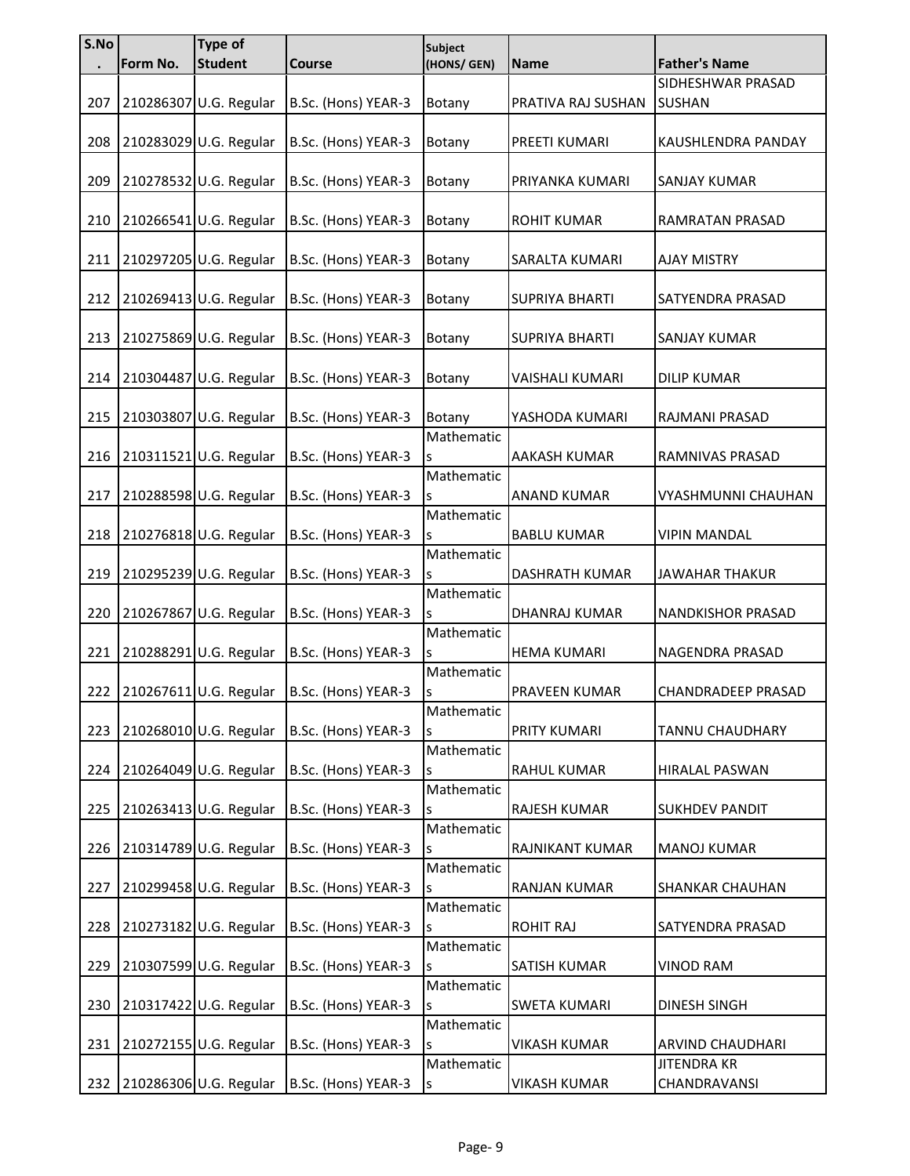| S.No | Form No. | Type of<br><b>Student</b> | <b>Course</b>       | <b>Subject</b><br>(HONS/ GEN) | Name                   | <b>Father's Name</b>      |
|------|----------|---------------------------|---------------------|-------------------------------|------------------------|---------------------------|
|      |          |                           |                     |                               |                        | SIDHESHWAR PRASAD         |
|      |          |                           |                     |                               |                        |                           |
| 207  |          | 210286307 U.G. Regular    | B.Sc. (Hons) YEAR-3 | Botany                        | PRATIVA RAJ SUSHAN     | <b>SUSHAN</b>             |
|      |          |                           |                     |                               |                        |                           |
| 208  |          | 210283029 U.G. Regular    | B.Sc. (Hons) YEAR-3 | Botany                        | PREETI KUMARI          | KAUSHLENDRA PANDAY        |
|      |          |                           |                     |                               |                        |                           |
| 209  |          | 210278532 U.G. Regular    | B.Sc. (Hons) YEAR-3 | Botany                        | PRIYANKA KUMARI        | <b>SANJAY KUMAR</b>       |
|      |          |                           |                     |                               |                        |                           |
| 210  |          | 210266541 U.G. Regular    | B.Sc. (Hons) YEAR-3 | Botany                        | <b>ROHIT KUMAR</b>     | RAMRATAN PRASAD           |
|      |          |                           |                     |                               |                        |                           |
| 211  |          | 210297205 U.G. Regular    | B.Sc. (Hons) YEAR-3 | Botany                        | SARALTA KUMARI         | <b>AJAY MISTRY</b>        |
|      |          |                           |                     |                               |                        |                           |
| 212  |          | 210269413 U.G. Regular    | B.Sc. (Hons) YEAR-3 | Botany                        | <b>SUPRIYA BHARTI</b>  | SATYENDRA PRASAD          |
|      |          |                           |                     |                               |                        |                           |
| 213  |          | 210275869 U.G. Regular    | B.Sc. (Hons) YEAR-3 | Botany                        | <b>SUPRIYA BHARTI</b>  | <b>SANJAY KUMAR</b>       |
|      |          |                           |                     |                               |                        |                           |
| 214  |          | 210304487 U.G. Regular    | B.Sc. (Hons) YEAR-3 | Botany                        | <b>VAISHALI KUMARI</b> | <b>DILIP KUMAR</b>        |
|      |          |                           |                     |                               |                        |                           |
| 215  |          | 210303807 U.G. Regular    | B.Sc. (Hons) YEAR-3 | Botany                        | YASHODA KUMARI         | RAJMANI PRASAD            |
|      |          |                           |                     | Mathematic                    |                        |                           |
| 216  |          | 210311521 U.G. Regular    | B.Sc. (Hons) YEAR-3 | S                             | <b>AAKASH KUMAR</b>    | RAMNIVAS PRASAD           |
|      |          |                           |                     | Mathematic                    |                        |                           |
| 217  |          | 210288598 U.G. Regular    | B.Sc. (Hons) YEAR-3 | S                             | <b>ANAND KUMAR</b>     | VYASHMUNNI CHAUHAN        |
|      |          |                           |                     | Mathematic                    |                        |                           |
| 218  |          | 210276818 U.G. Regular    | B.Sc. (Hons) YEAR-3 | S                             | <b>BABLU KUMAR</b>     | <b>VIPIN MANDAL</b>       |
|      |          |                           |                     | Mathematic                    |                        |                           |
| 219  |          | 210295239 U.G. Regular    | B.Sc. (Hons) YEAR-3 | S                             | <b>DASHRATH KUMAR</b>  | <b>JAWAHAR THAKUR</b>     |
|      |          |                           |                     | Mathematic                    |                        |                           |
| 220  |          | 210267867 U.G. Regular    | B.Sc. (Hons) YEAR-3 | S                             | DHANRAJ KUMAR          | NANDKISHOR PRASAD         |
|      |          |                           |                     | Mathematic                    |                        |                           |
| 221  |          | 210288291 U.G. Regular    | B.Sc. (Hons) YEAR-3 | S                             | <b>HEMA KUMARI</b>     | NAGENDRA PRASAD           |
|      |          |                           |                     | Mathematic                    |                        |                           |
| 222  |          | 210267611 U.G. Regular    | B.Sc. (Hons) YEAR-3 | S                             | PRAVEEN KUMAR          | <b>CHANDRADEEP PRASAD</b> |
|      |          |                           |                     | Mathematic                    |                        |                           |
| 223  |          | 210268010 U.G. Regular    | B.Sc. (Hons) YEAR-3 | S                             | PRITY KUMARI           | TANNU CHAUDHARY           |
|      |          |                           |                     | Mathematic                    |                        |                           |
| 224  |          | 210264049 U.G. Regular    | B.Sc. (Hons) YEAR-3 | S                             | RAHUL KUMAR            | <b>HIRALAL PASWAN</b>     |
|      |          |                           |                     | Mathematic                    |                        |                           |
| 225  |          | 210263413 U.G. Regular    | B.Sc. (Hons) YEAR-3 | S                             | RAJESH KUMAR           | <b>SUKHDEV PANDIT</b>     |
|      |          |                           |                     | Mathematic                    |                        |                           |
| 226  |          | 210314789 U.G. Regular    | B.Sc. (Hons) YEAR-3 | s                             | RAJNIKANT KUMAR        | <b>MANOJ KUMAR</b>        |
|      |          |                           |                     | Mathematic                    |                        |                           |
| 227  |          | 210299458 U.G. Regular    | B.Sc. (Hons) YEAR-3 | S                             | RANJAN KUMAR           | SHANKAR CHAUHAN           |
|      |          |                           |                     | Mathematic                    |                        |                           |
| 228  |          | 210273182 U.G. Regular    | B.Sc. (Hons) YEAR-3 | S                             | <b>ROHIT RAJ</b>       | SATYENDRA PRASAD          |
|      |          |                           |                     | Mathematic                    |                        |                           |
| 229  |          | 210307599 U.G. Regular    | B.Sc. (Hons) YEAR-3 | S                             | SATISH KUMAR           | <b>VINOD RAM</b>          |
|      |          |                           |                     | Mathematic                    |                        |                           |
| 230  |          | 210317422 U.G. Regular    | B.Sc. (Hons) YEAR-3 | S                             | <b>SWETA KUMARI</b>    | <b>DINESH SINGH</b>       |
|      |          |                           |                     | Mathematic                    |                        |                           |
| 231  |          | 210272155 U.G. Regular    | B.Sc. (Hons) YEAR-3 | s                             | <b>VIKASH KUMAR</b>    | ARVIND CHAUDHARI          |
|      |          |                           |                     | Mathematic                    |                        | <b>JITENDRA KR</b>        |
| 232  |          | 210286306 U.G. Regular    | B.Sc. (Hons) YEAR-3 | S                             | <b>VIKASH KUMAR</b>    | CHANDRAVANSI              |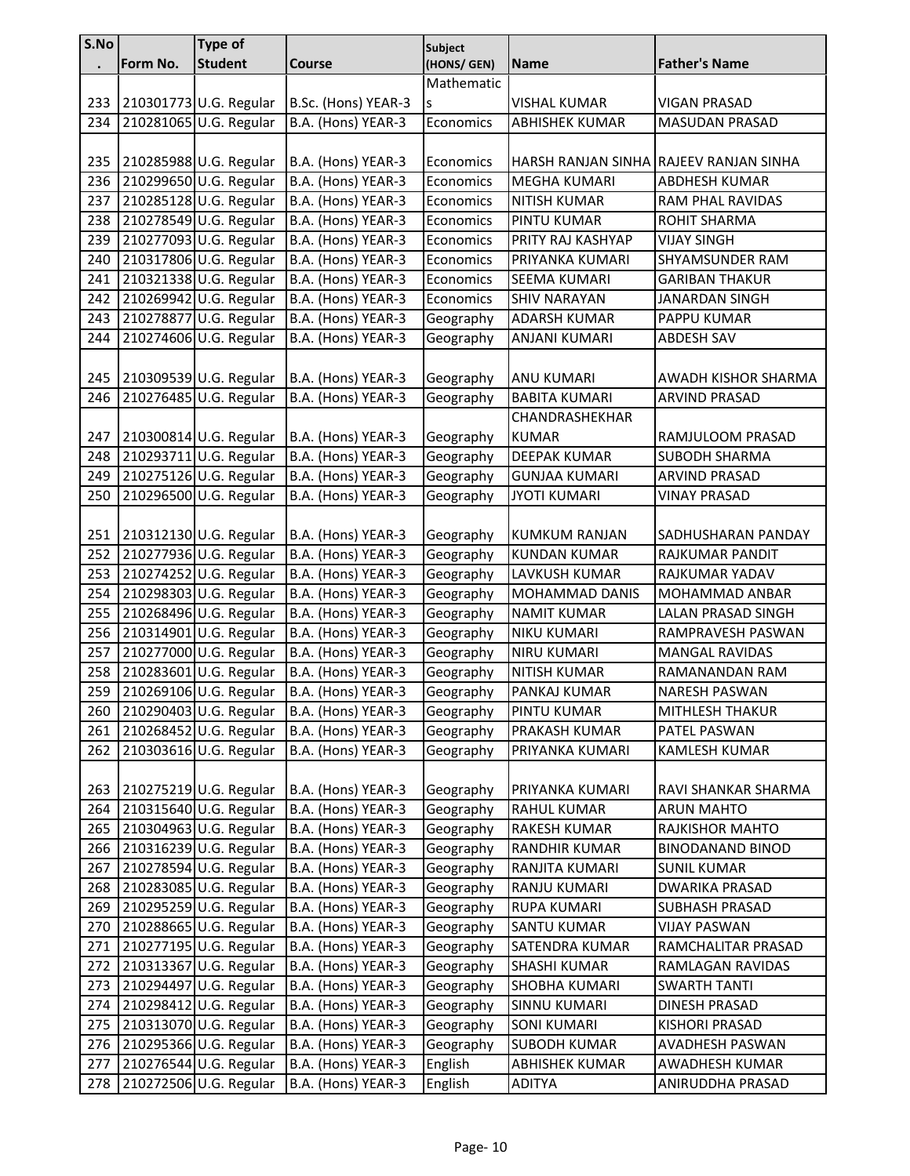| S.No       |          | Type of                                          |                                          | <b>Subject</b>         |                                           |                                          |
|------------|----------|--------------------------------------------------|------------------------------------------|------------------------|-------------------------------------------|------------------------------------------|
|            | Form No. | <b>Student</b>                                   | <b>Course</b>                            | (HONS/ GEN)            | <b>Name</b>                               | <b>Father's Name</b>                     |
|            |          |                                                  |                                          | Mathematic             |                                           |                                          |
| 233        |          | 210301773 U.G. Regular                           | B.Sc. (Hons) YEAR-3                      | S                      | <b>VISHAL KUMAR</b>                       | <b>VIGAN PRASAD</b>                      |
| 234        |          | 210281065 U.G. Regular                           | B.A. (Hons) YEAR-3                       | Economics              | <b>ABHISHEK KUMAR</b>                     | <b>MASUDAN PRASAD</b>                    |
| 235        |          | 210285988 U.G. Regular                           | B.A. (Hons) YEAR-3                       | Economics              |                                           | HARSH RANJAN SINHA RAJEEV RANJAN SINHA   |
| 236        |          | 210299650 U.G. Regular                           | B.A. (Hons) YEAR-3                       | Economics              | MEGHA KUMARI                              | <b>ABDHESH KUMAR</b>                     |
| 237        |          | 210285128 U.G. Regular                           | B.A. (Hons) YEAR-3                       | Economics              | <b>NITISH KUMAR</b>                       | RAM PHAL RAVIDAS                         |
| 238        |          | 210278549 U.G. Regular                           | B.A. (Hons) YEAR-3                       | Economics              | PINTU KUMAR                               | ROHIT SHARMA                             |
| 239        |          | 210277093 U.G. Regular                           | B.A. (Hons) YEAR-3                       | Economics              | PRITY RAJ KASHYAP                         | <b>VIJAY SINGH</b>                       |
| 240        |          | 210317806 U.G. Regular                           | B.A. (Hons) YEAR-3                       | Economics              | PRIYANKA KUMARI                           | SHYAMSUNDER RAM                          |
| 241        |          | 210321338 U.G. Regular                           | B.A. (Hons) YEAR-3                       | Economics              | SEEMA KUMARI                              | <b>GARIBAN THAKUR</b>                    |
| 242        |          | 210269942 U.G. Regular                           | B.A. (Hons) YEAR-3                       | Economics              | <b>SHIV NARAYAN</b>                       | <b>JANARDAN SINGH</b>                    |
| 243        |          | 210278877 U.G. Regular                           | B.A. (Hons) YEAR-3                       | Geography              | <b>ADARSH KUMAR</b>                       | <b>PAPPU KUMAR</b>                       |
| 244        |          | 210274606 U.G. Regular                           | B.A. (Hons) YEAR-3                       | Geography              | <b>ANJANI KUMARI</b>                      | <b>ABDESH SAV</b>                        |
|            |          |                                                  |                                          |                        |                                           |                                          |
| 245        |          | 210309539 U.G. Regular                           | B.A. (Hons) YEAR-3                       | Geography              | <b>ANU KUMARI</b>                         | AWADH KISHOR SHARMA                      |
| 246        |          | 210276485 U.G. Regular                           | B.A. (Hons) YEAR-3                       | Geography              | <b>BABITA KUMARI</b>                      | <b>ARVIND PRASAD</b>                     |
|            |          |                                                  |                                          |                        | CHANDRASHEKHAR                            |                                          |
| 247        |          | 210300814 U.G. Regular                           | B.A. (Hons) YEAR-3                       | Geography              | <b>KUMAR</b>                              | RAMJULOOM PRASAD                         |
| 248        |          | 210293711 U.G. Regular                           | B.A. (Hons) YEAR-3                       | Geography              | <b>DEEPAK KUMAR</b>                       | <b>SUBODH SHARMA</b>                     |
| 249        |          | 210275126 U.G. Regular                           | B.A. (Hons) YEAR-3                       | Geography              | <b>GUNJAA KUMARI</b>                      | <b>ARVIND PRASAD</b>                     |
| 250        |          | 210296500 U.G. Regular                           | B.A. (Hons) YEAR-3                       | Geography              | <b>JYOTI KUMARI</b>                       | <b>VINAY PRASAD</b>                      |
|            |          |                                                  |                                          |                        |                                           |                                          |
| 251        |          | 210312130 U.G. Regular                           | B.A. (Hons) YEAR-3                       | Geography              | <b>KUMKUM RANJAN</b>                      | SADHUSHARAN PANDAY                       |
| 252        |          | 210277936 U.G. Regular                           | B.A. (Hons) YEAR-3                       | Geography              | <b>KUNDAN KUMAR</b>                       | RAJKUMAR PANDIT                          |
| 253        |          | 210274252 U.G. Regular                           | B.A. (Hons) YEAR-3                       | Geography              | LAVKUSH KUMAR                             | RAJKUMAR YADAV                           |
| 254        |          | 210298303 U.G. Regular                           | B.A. (Hons) YEAR-3                       | Geography              | <b>MOHAMMAD DANIS</b>                     | MOHAMMAD ANBAR                           |
| 255        |          | 210268496 U.G. Regular                           | B.A. (Hons) YEAR-3                       | Geography              | <b>NAMIT KUMAR</b>                        | LALAN PRASAD SINGH                       |
| 256        |          | 210314901 U.G. Regular                           | B.A. (Hons) YEAR-3                       | Geography              | <b>NIKU KUMARI</b>                        | RAMPRAVESH PASWAN                        |
| 257<br>258 |          | 210277000 U.G. Regular<br>210283601 U.G. Regular | B.A. (Hons) YEAR-3<br>B.A. (Hons) YEAR-3 | Geography              | <b>NIRU KUMARI</b><br><b>NITISH KUMAR</b> | <b>MANGAL RAVIDAS</b><br>RAMANANDAN RAM  |
| 259        |          | 210269106 U.G. Regular                           | B.A. (Hons) YEAR-3                       | Geography<br>Geography | PANKAJ KUMAR                              | <b>NARESH PASWAN</b>                     |
|            |          | 210290403 U.G. Regular                           | B.A. (Hons) YEAR-3                       |                        |                                           |                                          |
| 260        |          | 210268452 U.G. Regular                           |                                          | Geography              | PINTU KUMAR                               | <b>MITHLESH THAKUR</b>                   |
| 261        |          |                                                  | B.A. (Hons) YEAR-3                       | Geography              | PRAKASH KUMAR                             | PATEL PASWAN                             |
| 262        |          | 210303616 U.G. Regular                           | B.A. (Hons) YEAR-3                       | Geography              | PRIYANKA KUMARI                           | <b>KAMLESH KUMAR</b>                     |
| 263        |          | 210275219 U.G. Regular                           | B.A. (Hons) YEAR-3                       | Geography              | PRIYANKA KUMARI                           | RAVI SHANKAR SHARMA                      |
| 264        |          | 210315640 U.G. Regular                           | B.A. (Hons) YEAR-3                       | Geography              | RAHUL KUMAR                               | <b>ARUN MAHTO</b>                        |
| 265        |          | 210304963 U.G. Regular                           | B.A. (Hons) YEAR-3                       | Geography              | RAKESH KUMAR                              | RAJKISHOR MAHTO                          |
| 266        |          | 210316239 U.G. Regular                           | B.A. (Hons) YEAR-3                       | Geography              | RANDHIR KUMAR                             | <b>BINODANAND BINOD</b>                  |
| 267        |          | 210278594 U.G. Regular                           | B.A. (Hons) YEAR-3                       | Geography              | RANJITA KUMARI                            | <b>SUNIL KUMAR</b>                       |
| 268        |          | 210283085 U.G. Regular                           | B.A. (Hons) YEAR-3                       | Geography              | RANJU KUMARI                              | <b>DWARIKA PRASAD</b>                    |
| 269        |          | 210295259 U.G. Regular                           | B.A. (Hons) YEAR-3                       | Geography              | <b>RUPA KUMARI</b>                        | <b>SUBHASH PRASAD</b>                    |
| 270        |          | 210288665 U.G. Regular                           | B.A. (Hons) YEAR-3                       | Geography              | SANTU KUMAR                               | VIJAY PASWAN                             |
| 271        |          | 210277195 U.G. Regular                           | B.A. (Hons) YEAR-3                       | Geography              | SATENDRA KUMAR                            | RAMCHALITAR PRASAD                       |
| 272        |          | 210313367 U.G. Regular                           | B.A. (Hons) YEAR-3                       | Geography              | <b>SHASHI KUMAR</b>                       | RAMLAGAN RAVIDAS                         |
| 273        |          | 210294497 U.G. Regular                           | B.A. (Hons) YEAR-3                       | Geography              | SHOBHA KUMARI                             | <b>SWARTH TANTI</b>                      |
| 274        |          | 210298412 U.G. Regular<br>210313070 U.G. Regular | B.A. (Hons) YEAR-3                       | Geography              | <b>SINNU KUMARI</b>                       | DINESH PRASAD                            |
| 275<br>276 |          | 210295366 U.G. Regular                           | B.A. (Hons) YEAR-3<br>B.A. (Hons) YEAR-3 | Geography<br>Geography | <b>SONI KUMARI</b><br><b>SUBODH KUMAR</b> | <b>KISHORI PRASAD</b><br>AVADHESH PASWAN |
| 277        |          | 210276544 U.G. Regular                           | B.A. (Hons) YEAR-3                       |                        | <b>ABHISHEK KUMAR</b>                     | AWADHESH KUMAR                           |
|            |          |                                                  |                                          | English                |                                           |                                          |
| 278        |          | 210272506 U.G. Regular                           | B.A. (Hons) YEAR-3                       | English                | <b>ADITYA</b>                             | ANIRUDDHA PRASAD                         |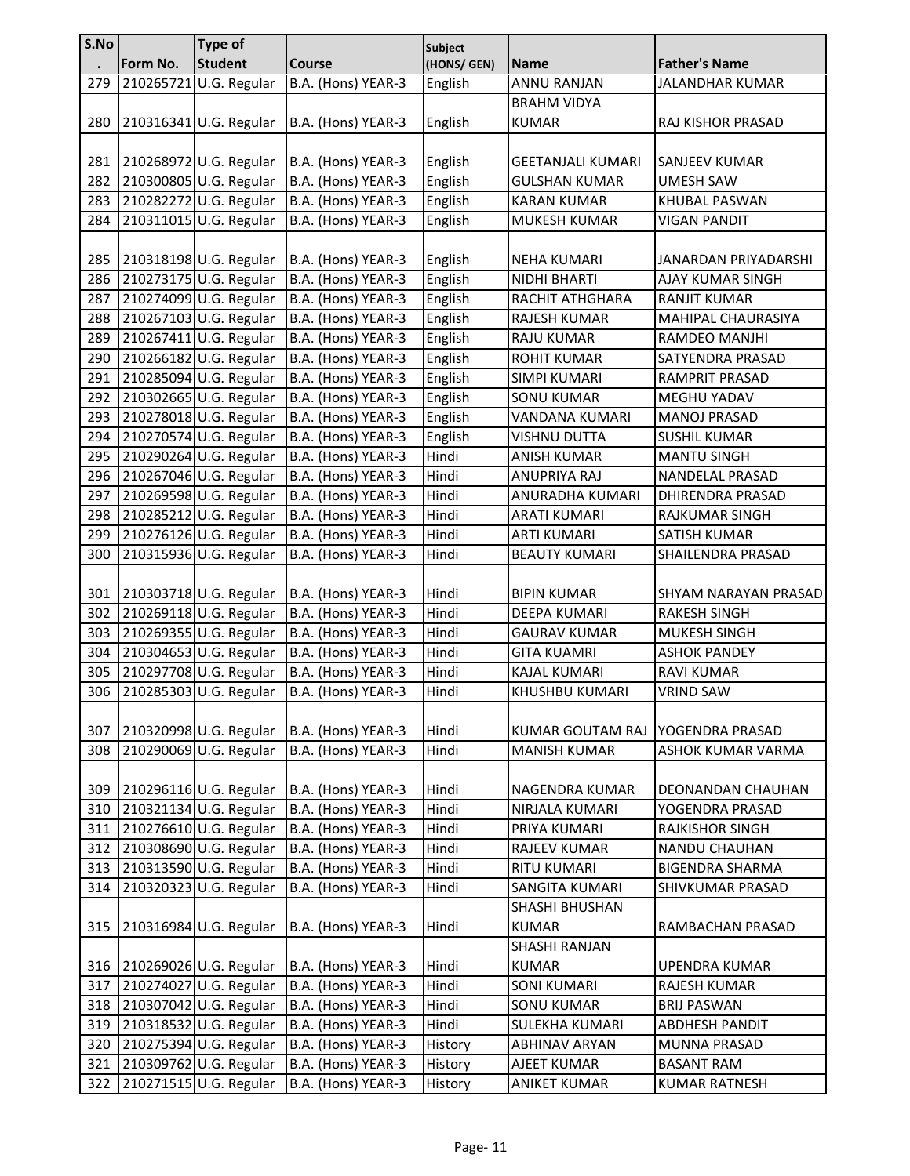| S.No |           | <b>Type of</b>         |                    | <b>Subject</b> |                          |                        |
|------|-----------|------------------------|--------------------|----------------|--------------------------|------------------------|
|      | Form No.  | <b>Student</b>         | <b>Course</b>      | (HONS/ GEN)    | Name                     | <b>Father's Name</b>   |
| 279  | 210265721 | U.G. Regular           | B.A. (Hons) YEAR-3 | English        | <b>ANNU RANJAN</b>       | <b>JALANDHAR KUMAR</b> |
|      |           |                        |                    |                | <b>BRAHM VIDYA</b>       |                        |
| 280  |           | 210316341 U.G. Regular | B.A. (Hons) YEAR-3 | English        | <b>KUMAR</b>             | RAJ KISHOR PRASAD      |
|      |           |                        |                    |                |                          |                        |
| 281  |           | 210268972 U.G. Regular | B.A. (Hons) YEAR-3 | English        | <b>GEETANJALI KUMARI</b> | SANJEEV KUMAR          |
| 282  |           | 210300805 U.G. Regular | B.A. (Hons) YEAR-3 | English        | <b>GULSHAN KUMAR</b>     | <b>UMESH SAW</b>       |
| 283  |           | 210282272 U.G. Regular | B.A. (Hons) YEAR-3 | English        | <b>KARAN KUMAR</b>       | KHUBAL PASWAN          |
| 284  |           | 210311015 U.G. Regular | B.A. (Hons) YEAR-3 | English        | MUKESH KUMAR             | <b>VIGAN PANDIT</b>    |
|      |           |                        |                    |                |                          |                        |
| 285  |           | 210318198 U.G. Regular | B.A. (Hons) YEAR-3 | English        | <b>NEHA KUMARI</b>       | JANARDAN PRIYADARSHI   |
| 286  |           | 210273175 U.G. Regular | B.A. (Hons) YEAR-3 | English        | NIDHI BHARTI             | AJAY KUMAR SINGH       |
| 287  |           | 210274099 U.G. Regular | B.A. (Hons) YEAR-3 | English        | RACHIT ATHGHARA          | <b>RANJIT KUMAR</b>    |
| 288  |           | 210267103 U.G. Regular | B.A. (Hons) YEAR-3 | English        | RAJESH KUMAR             | MAHIPAL CHAURASIYA     |
| 289  |           | 210267411 U.G. Regular | B.A. (Hons) YEAR-3 | English        | <b>RAJU KUMAR</b>        | RAMDEO MANJHI          |
| 290  |           | 210266182 U.G. Regular | B.A. (Hons) YEAR-3 | English        | ROHIT KUMAR              | SATYENDRA PRASAD       |
| 291  |           | 210285094 U.G. Regular | B.A. (Hons) YEAR-3 | English        | <b>SIMPI KUMARI</b>      | RAMPRIT PRASAD         |
| 292  |           | 210302665 U.G. Regular | B.A. (Hons) YEAR-3 | English        | <b>SONU KUMAR</b>        | MEGHU YADAV            |
| 293  |           | 210278018 U.G. Regular | B.A. (Hons) YEAR-3 | English        | VANDANA KUMARI           | <b>MANOJ PRASAD</b>    |
| 294  |           | 210270574 U.G. Regular | B.A. (Hons) YEAR-3 | English        | VISHNU DUTTA             | <b>SUSHIL KUMAR</b>    |
| 295  |           | 210290264 U.G. Regular | B.A. (Hons) YEAR-3 | Hindi          | ANISH KUMAR              | <b>MANTU SINGH</b>     |
| 296  |           | 210267046 U.G. Regular | B.A. (Hons) YEAR-3 | Hindi          | ANUPRIYA RAJ             | NANDELAL PRASAD        |
| 297  |           | 210269598 U.G. Regular | B.A. (Hons) YEAR-3 | Hindi          | ANURADHA KUMARI          | DHIRENDRA PRASAD       |
| 298  |           | 210285212 U.G. Regular | B.A. (Hons) YEAR-3 | Hindi          | <b>ARATI KUMARI</b>      | <b>RAJKUMAR SINGH</b>  |
| 299  |           | 210276126 U.G. Regular | B.A. (Hons) YEAR-3 | Hindi          | ARTI KUMARI              | SATISH KUMAR           |
| 300  |           | 210315936 U.G. Regular | B.A. (Hons) YEAR-3 | Hindi          | <b>BEAUTY KUMARI</b>     | SHAILENDRA PRASAD      |
|      |           |                        |                    |                |                          |                        |
| 301  |           | 210303718 U.G. Regular | B.A. (Hons) YEAR-3 | Hindi          | <b>BIPIN KUMAR</b>       | SHYAM NARAYAN PRASAD   |
| 302  |           | 210269118 U.G. Regular | B.A. (Hons) YEAR-3 | Hindi          | DEEPA KUMARI             | <b>RAKESH SINGH</b>    |
| 303  |           | 210269355 U.G. Regular | B.A. (Hons) YEAR-3 | Hindi          | <b>GAURAV KUMAR</b>      | MUKESH SINGH           |
| 304  |           | 210304653 U.G. Regular | B.A. (Hons) YEAR-3 | Hindi          | <b>GITA KUAMRI</b>       | <b>ASHOK PANDEY</b>    |
| 305  |           | 210297708 U.G. Regular | B.A. (Hons) YEAR-3 | Hindi          | KAJAL KUMARI             | <b>RAVI KUMAR</b>      |
| 306  |           | 210285303 U.G. Regular | B.A. (Hons) YEAR-3 | Hindi          | KHUSHBU KUMARI           | <b>VRIND SAW</b>       |
|      |           |                        |                    |                |                          |                        |
| 307  |           | 210320998 U.G. Regular | B.A. (Hons) YEAR-3 | Hindi          | KUMAR GOUTAM RAJ         | YOGENDRA PRASAD        |
| 308  |           | 210290069 U.G. Regular | B.A. (Hons) YEAR-3 | Hindi          | <b>MANISH KUMAR</b>      | ASHOK KUMAR VARMA      |
|      |           |                        |                    |                |                          |                        |
| 309  |           | 210296116 U.G. Regular | B.A. (Hons) YEAR-3 | Hindi          | NAGENDRA KUMAR           | DEONANDAN CHAUHAN      |
| 310  |           | 210321134 U.G. Regular | B.A. (Hons) YEAR-3 | Hindi          | NIRJALA KUMARI           | YOGENDRA PRASAD        |
| 311  |           | 210276610 U.G. Regular | B.A. (Hons) YEAR-3 | Hindi          | PRIYA KUMARI             | <b>RAJKISHOR SINGH</b> |
| 312  |           | 210308690 U.G. Regular | B.A. (Hons) YEAR-3 | Hindi          | RAJEEV KUMAR             | NANDU CHAUHAN          |
| 313  |           | 210313590 U.G. Regular | B.A. (Hons) YEAR-3 | Hindi          | RITU KUMARI              | <b>BIGENDRA SHARMA</b> |
| 314  |           | 210320323 U.G. Regular | B.A. (Hons) YEAR-3 | Hindi          | SANGITA KUMARI           | SHIVKUMAR PRASAD       |
|      |           |                        |                    |                | <b>SHASHI BHUSHAN</b>    |                        |
| 315  |           | 210316984 U.G. Regular | B.A. (Hons) YEAR-3 | Hindi          | KUMAR                    | RAMBACHAN PRASAD       |
|      |           |                        |                    |                | <b>SHASHI RANJAN</b>     |                        |
| 316  |           | 210269026 U.G. Regular | B.A. (Hons) YEAR-3 | Hindi          | <b>KUMAR</b>             | UPENDRA KUMAR          |
| 317  |           | 210274027 U.G. Regular | B.A. (Hons) YEAR-3 | Hindi          | <b>SONI KUMARI</b>       | RAJESH KUMAR           |
| 318  |           | 210307042 U.G. Regular | B.A. (Hons) YEAR-3 | Hindi          | <b>SONU KUMAR</b>        | <b>BRIJ PASWAN</b>     |
| 319  |           | 210318532 U.G. Regular | B.A. (Hons) YEAR-3 | Hindi          | SULEKHA KUMARI           | <b>ABDHESH PANDIT</b>  |
| 320  |           | 210275394 U.G. Regular | B.A. (Hons) YEAR-3 | History        | <b>ABHINAV ARYAN</b>     | MUNNA PRASAD           |
| 321  |           | 210309762 U.G. Regular | B.A. (Hons) YEAR-3 | History        | AJEET KUMAR              | <b>BASANT RAM</b>      |
| 322  |           | 210271515 U.G. Regular | B.A. (Hons) YEAR-3 | History        | <b>ANIKET KUMAR</b>      | <b>KUMAR RATNESH</b>   |
|      |           |                        |                    |                |                          |                        |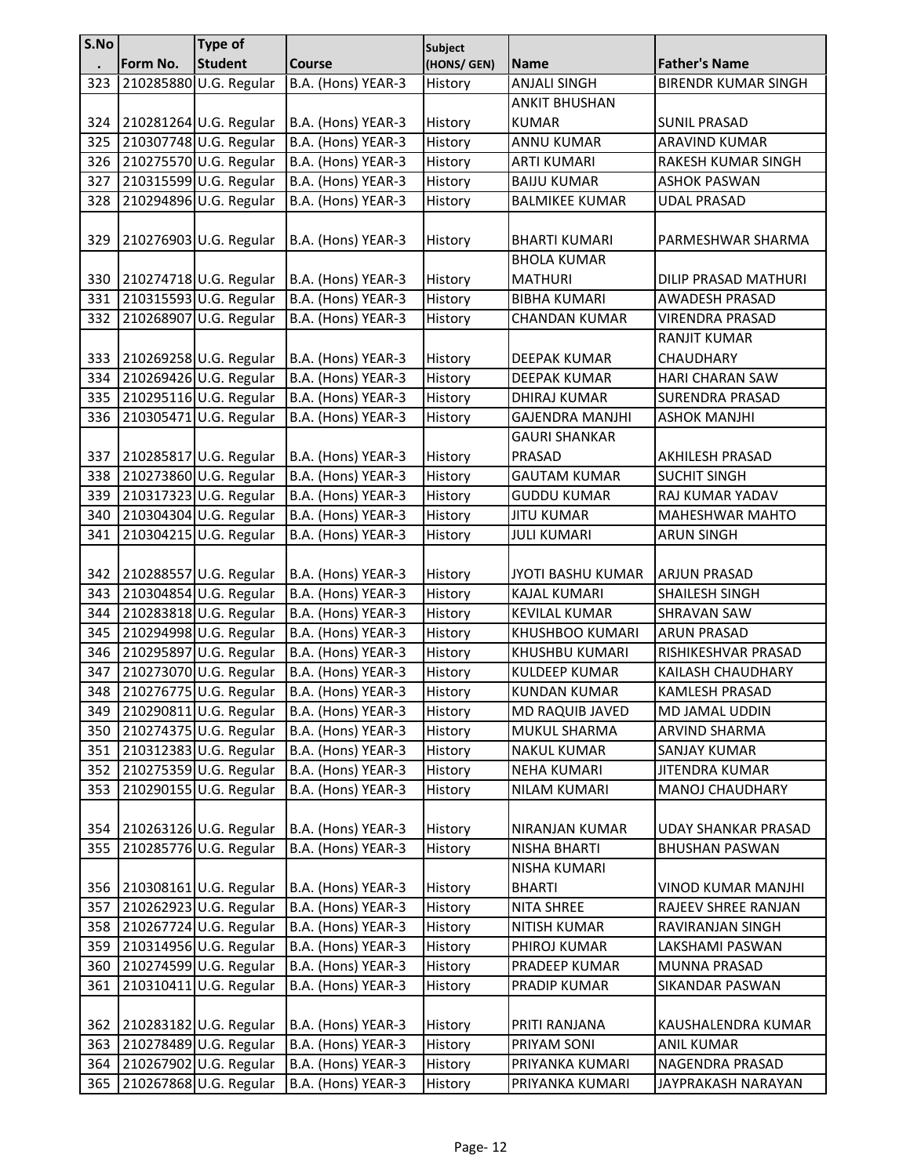| S.No |          | <b>Type of</b>         |                    | Subject     |                        |                            |
|------|----------|------------------------|--------------------|-------------|------------------------|----------------------------|
|      | Form No. | <b>Student</b>         | <b>Course</b>      | (HONS/ GEN) | <b>Name</b>            | <b>Father's Name</b>       |
| 323  |          | 210285880 U.G. Regular | B.A. (Hons) YEAR-3 | History     | <b>ANJALI SINGH</b>    | <b>BIRENDR KUMAR SINGH</b> |
|      |          |                        |                    |             | <b>ANKIT BHUSHAN</b>   |                            |
| 324  |          | 210281264 U.G. Regular | B.A. (Hons) YEAR-3 | History     | <b>KUMAR</b>           | <b>SUNIL PRASAD</b>        |
| 325  |          | 210307748 U.G. Regular | B.A. (Hons) YEAR-3 | History     | <b>ANNU KUMAR</b>      | ARAVIND KUMAR              |
| 326  |          | 210275570 U.G. Regular | B.A. (Hons) YEAR-3 | History     | <b>ARTI KUMARI</b>     | RAKESH KUMAR SINGH         |
| 327  |          | 210315599 U.G. Regular | B.A. (Hons) YEAR-3 | History     | <b>BAIJU KUMAR</b>     | <b>ASHOK PASWAN</b>        |
| 328  |          | 210294896 U.G. Regular | B.A. (Hons) YEAR-3 | History     | <b>BALMIKEE KUMAR</b>  | <b>UDAL PRASAD</b>         |
|      |          |                        |                    |             |                        |                            |
| 329  |          | 210276903 U.G. Regular | B.A. (Hons) YEAR-3 | History     | <b>BHARTI KUMARI</b>   | PARMESHWAR SHARMA          |
|      |          |                        |                    |             | <b>BHOLA KUMAR</b>     |                            |
| 330  |          | 210274718 U.G. Regular | B.A. (Hons) YEAR-3 | History     | <b>MATHURI</b>         | DILIP PRASAD MATHURI       |
| 331  |          | 210315593 U.G. Regular | B.A. (Hons) YEAR-3 | History     | <b>BIBHA KUMARI</b>    | AWADESH PRASAD             |
| 332  |          | 210268907 U.G. Regular | B.A. (Hons) YEAR-3 | History     | <b>CHANDAN KUMAR</b>   | <b>VIRENDRA PRASAD</b>     |
|      |          |                        |                    |             |                        | <b>RANJIT KUMAR</b>        |
| 333  |          | 210269258 U.G. Regular | B.A. (Hons) YEAR-3 | History     | DEEPAK KUMAR           | <b>CHAUDHARY</b>           |
| 334  |          | 210269426 U.G. Regular | B.A. (Hons) YEAR-3 | History     | <b>DEEPAK KUMAR</b>    | HARI CHARAN SAW            |
| 335  |          | 210295116 U.G. Regular | B.A. (Hons) YEAR-3 | History     | <b>DHIRAJ KUMAR</b>    | <b>SURENDRA PRASAD</b>     |
| 336  |          | 210305471 U.G. Regular | B.A. (Hons) YEAR-3 | History     | <b>GAJENDRA MANJHI</b> | <b>ASHOK MANJHI</b>        |
|      |          |                        |                    |             | <b>GAURI SHANKAR</b>   |                            |
| 337  |          | 210285817 U.G. Regular | B.A. (Hons) YEAR-3 | History     | PRASAD                 | AKHILESH PRASAD            |
| 338  |          | 210273860 U.G. Regular | B.A. (Hons) YEAR-3 | History     | <b>GAUTAM KUMAR</b>    | <b>SUCHIT SINGH</b>        |
| 339  |          | 210317323 U.G. Regular | B.A. (Hons) YEAR-3 | History     | <b>GUDDU KUMAR</b>     | RAJ KUMAR YADAV            |
| 340  |          | 210304304 U.G. Regular | B.A. (Hons) YEAR-3 | History     | <b>JITU KUMAR</b>      | <b>MAHESHWAR MAHTO</b>     |
| 341  |          | 210304215 U.G. Regular | B.A. (Hons) YEAR-3 | History     | <b>JULI KUMARI</b>     | <b>ARUN SINGH</b>          |
|      |          |                        |                    |             |                        |                            |
| 342  |          | 210288557 U.G. Regular | B.A. (Hons) YEAR-3 | History     | JYOTI BASHU KUMAR      | <b>ARJUN PRASAD</b>        |
| 343  |          | 210304854 U.G. Regular | B.A. (Hons) YEAR-3 | History     | KAJAL KUMARI           | SHAILESH SINGH             |
| 344  |          | 210283818 U.G. Regular | B.A. (Hons) YEAR-3 | History     | <b>KEVILAL KUMAR</b>   | <b>SHRAVAN SAW</b>         |
| 345  |          | 210294998 U.G. Regular | B.A. (Hons) YEAR-3 | History     | <b>KHUSHBOO KUMARI</b> | <b>ARUN PRASAD</b>         |
| 346  |          | 210295897 U.G. Regular | B.A. (Hons) YEAR-3 | History     | KHUSHBU KUMARI         | RISHIKESHVAR PRASAD        |
| 347  |          | 210273070 U.G. Regular | B.A. (Hons) YEAR-3 | History     | <b>KULDEEP KUMAR</b>   | KAILASH CHAUDHARY          |
| 348  |          | 210276775 U.G. Regular | B.A. (Hons) YEAR-3 | History     | <b>KUNDAN KUMAR</b>    | <b>KAMLESH PRASAD</b>      |
| 349  |          | 210290811 U.G. Regular | B.A. (Hons) YEAR-3 | History     | MD RAQUIB JAVED        | MD JAMAL UDDIN             |
| 350  |          | 210274375 U.G. Regular | B.A. (Hons) YEAR-3 | History     | MUKUL SHARMA           | ARVIND SHARMA              |
| 351  |          | 210312383 U.G. Regular | B.A. (Hons) YEAR-3 | History     | <b>NAKUL KUMAR</b>     | SANJAY KUMAR               |
| 352  |          | 210275359 U.G. Regular | B.A. (Hons) YEAR-3 | History     | <b>NEHA KUMARI</b>     | JITENDRA KUMAR             |
| 353  |          | 210290155 U.G. Regular | B.A. (Hons) YEAR-3 | History     | <b>NILAM KUMARI</b>    | <b>MANOJ CHAUDHARY</b>     |
|      |          |                        |                    |             |                        |                            |
| 354  |          | 210263126 U.G. Regular | B.A. (Hons) YEAR-3 | History     | NIRANJAN KUMAR         | UDAY SHANKAR PRASAD        |
| 355  |          | 210285776 U.G. Regular | B.A. (Hons) YEAR-3 | History     | NISHA BHARTI           | <b>BHUSHAN PASWAN</b>      |
|      |          |                        |                    |             | NISHA KUMARI           |                            |
| 356  |          | 210308161 U.G. Regular | B.A. (Hons) YEAR-3 | History     | <b>BHARTI</b>          | VINOD KUMAR MANJHI         |
| 357  |          | 210262923 U.G. Regular | B.A. (Hons) YEAR-3 | History     | NITA SHREE             | RAJEEV SHREE RANJAN        |
| 358  |          | 210267724 U.G. Regular | B.A. (Hons) YEAR-3 | History     | NITISH KUMAR           | RAVIRANJAN SINGH           |
| 359  |          | 210314956 U.G. Regular | B.A. (Hons) YEAR-3 | History     | PHIROJ KUMAR           | LAKSHAMI PASWAN            |
| 360  |          | 210274599 U.G. Regular | B.A. (Hons) YEAR-3 | History     | PRADEEP KUMAR          | MUNNA PRASAD               |
| 361  |          | 210310411 U.G. Regular | B.A. (Hons) YEAR-3 | History     | PRADIP KUMAR           | SIKANDAR PASWAN            |
|      |          |                        |                    |             |                        |                            |
| 362  |          | 210283182 U.G. Regular | B.A. (Hons) YEAR-3 | History     | PRITI RANJANA          | KAUSHALENDRA KUMAR         |
| 363  |          | 210278489 U.G. Regular | B.A. (Hons) YEAR-3 | History     | PRIYAM SONI            | <b>ANIL KUMAR</b>          |
| 364  |          | 210267902 U.G. Regular | B.A. (Hons) YEAR-3 | History     | PRIYANKA KUMARI        | NAGENDRA PRASAD            |
| 365  |          | 210267868 U.G. Regular | B.A. (Hons) YEAR-3 | History     | PRIYANKA KUMARI        | JAYPRAKASH NARAYAN         |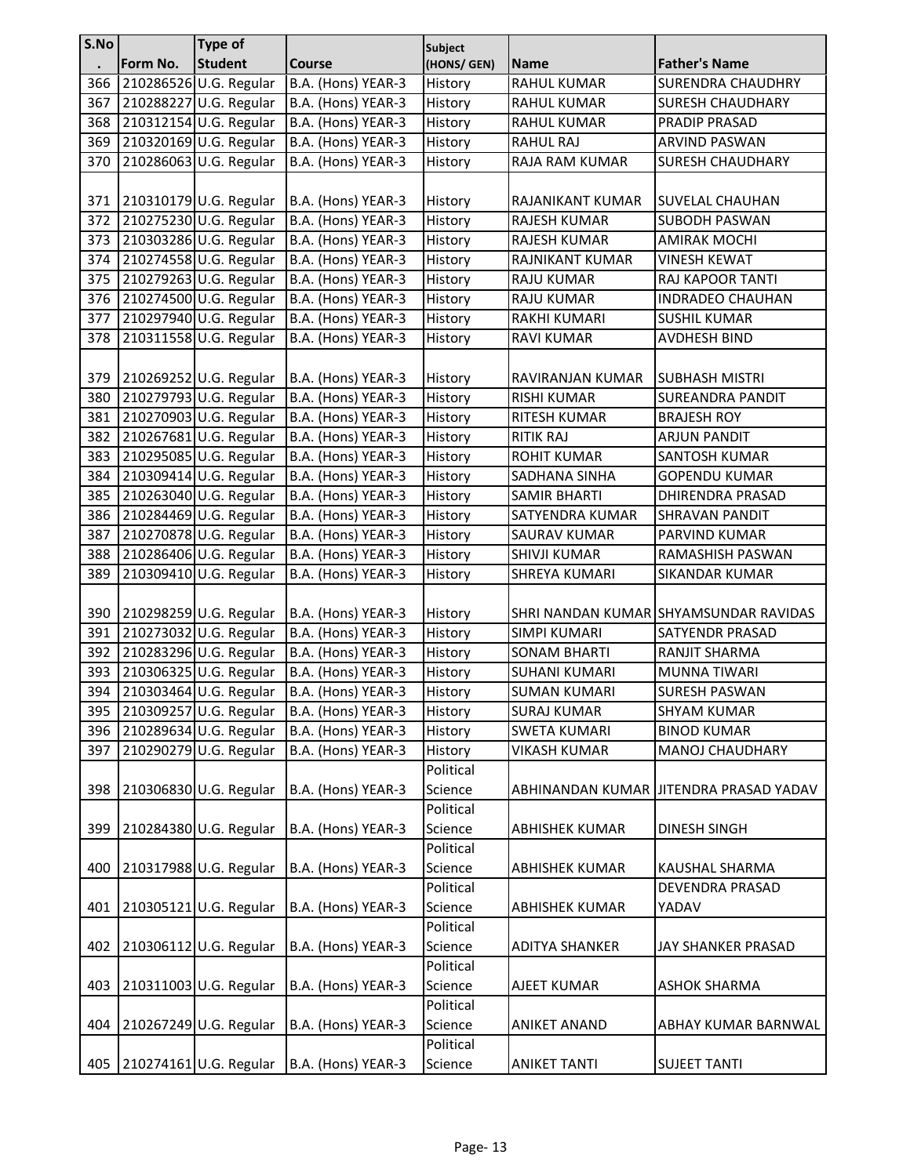| S.No |          | <b>Type of</b>         |                    | <b>Subject</b> |                       |                                         |
|------|----------|------------------------|--------------------|----------------|-----------------------|-----------------------------------------|
|      | Form No. | <b>Student</b>         | <b>Course</b>      | (HONS/ GEN)    | <b>Name</b>           | <b>Father's Name</b>                    |
| 366  |          | 210286526 U.G. Regular | B.A. (Hons) YEAR-3 | History        | RAHUL KUMAR           | <b>SURENDRA CHAUDHRY</b>                |
| 367  |          | 210288227 U.G. Regular | B.A. (Hons) YEAR-3 | History        | <b>RAHUL KUMAR</b>    | <b>SURESH CHAUDHARY</b>                 |
| 368  |          | 210312154 U.G. Regular | B.A. (Hons) YEAR-3 | History        | RAHUL KUMAR           | PRADIP PRASAD                           |
| 369  |          | 210320169 U.G. Regular | B.A. (Hons) YEAR-3 | History        | RAHUL RAJ             | <b>ARVIND PASWAN</b>                    |
| 370  |          | 210286063 U.G. Regular | B.A. (Hons) YEAR-3 | History        | RAJA RAM KUMAR        | <b>SURESH CHAUDHARY</b>                 |
|      |          |                        |                    |                |                       |                                         |
| 371  |          | 210310179 U.G. Regular | B.A. (Hons) YEAR-3 | History        | RAJANIKANT KUMAR      | <b>SUVELAL CHAUHAN</b>                  |
| 372  |          | 210275230 U.G. Regular | B.A. (Hons) YEAR-3 | History        | RAJESH KUMAR          | <b>SUBODH PASWAN</b>                    |
| 373  |          | 210303286 U.G. Regular | B.A. (Hons) YEAR-3 | History        | RAJESH KUMAR          | <b>AMIRAK MOCHI</b>                     |
| 374  |          | 210274558 U.G. Regular | B.A. (Hons) YEAR-3 | History        | RAJNIKANT KUMAR       | <b>VINESH KEWAT</b>                     |
| 375  |          | 210279263 U.G. Regular | B.A. (Hons) YEAR-3 | History        | RAJU KUMAR            | RAJ KAPOOR TANTI                        |
| 376  |          | 210274500 U.G. Regular | B.A. (Hons) YEAR-3 | History        | RAJU KUMAR            | <b>INDRADEO CHAUHAN</b>                 |
| 377  |          | 210297940 U.G. Regular | B.A. (Hons) YEAR-3 | History        | RAKHI KUMARI          | <b>SUSHIL KUMAR</b>                     |
| 378  |          | 210311558 U.G. Regular | B.A. (Hons) YEAR-3 | History        | <b>RAVI KUMAR</b>     | <b>AVDHESH BIND</b>                     |
|      |          |                        |                    |                |                       |                                         |
| 379  |          | 210269252 U.G. Regular | B.A. (Hons) YEAR-3 | History        | RAVIRANJAN KUMAR      | <b>SUBHASH MISTRI</b>                   |
| 380  |          | 210279793 U.G. Regular | B.A. (Hons) YEAR-3 | History        | <b>RISHI KUMAR</b>    | <b>SUREANDRA PANDIT</b>                 |
| 381  |          | 210270903 U.G. Regular | B.A. (Hons) YEAR-3 | History        | RITESH KUMAR          | <b>BRAJESH ROY</b>                      |
| 382  |          | 210267681 U.G. Regular | B.A. (Hons) YEAR-3 | History        | RITIK RAJ             | <b>ARJUN PANDIT</b>                     |
| 383  |          | 210295085 U.G. Regular | B.A. (Hons) YEAR-3 | History        | <b>ROHIT KUMAR</b>    | <b>SANTOSH KUMAR</b>                    |
| 384  |          | 210309414 U.G. Regular | B.A. (Hons) YEAR-3 | History        | SADHANA SINHA         | <b>GOPENDU KUMAR</b>                    |
| 385  |          | 210263040 U.G. Regular | B.A. (Hons) YEAR-3 | History        | <b>SAMIR BHARTI</b>   | DHIRENDRA PRASAD                        |
| 386  |          | 210284469 U.G. Regular | B.A. (Hons) YEAR-3 | History        | SATYENDRA KUMAR       | <b>SHRAVAN PANDIT</b>                   |
| 387  |          | 210270878 U.G. Regular | B.A. (Hons) YEAR-3 | History        | SAURAV KUMAR          | PARVIND KUMAR                           |
| 388  |          | 210286406 U.G. Regular | B.A. (Hons) YEAR-3 | History        | SHIVJI KUMAR          | RAMASHISH PASWAN                        |
| 389  |          | 210309410 U.G. Regular | B.A. (Hons) YEAR-3 | History        | SHREYA KUMARI         | <b>SIKANDAR KUMAR</b>                   |
|      |          |                        |                    |                |                       |                                         |
| 390  |          | 210298259 U.G. Regular | B.A. (Hons) YEAR-3 | History        |                       | SHRI NANDAN KUMAR SHYAMSUNDAR RAVIDAS   |
| 391  |          | 210273032 U.G. Regular | B.A. (Hons) YEAR-3 | History        | SIMPI KUMARI          | <b>SATYENDR PRASAD</b>                  |
| 392  |          | 210283296 U.G. Regular | B.A. (Hons) YEAR-3 | History        | <b>SONAM BHARTI</b>   | RANJIT SHARMA                           |
| 393  |          | 210306325 U.G. Regular | B.A. (Hons) YEAR-3 | History        | <b>SUHANI KUMARI</b>  | <b>MUNNA TIWARI</b>                     |
| 394  |          | 210303464 U.G. Regular | B.A. (Hons) YEAR-3 | History        | <b>SUMAN KUMARI</b>   | <b>SURESH PASWAN</b>                    |
| 395  |          | 210309257 U.G. Regular | B.A. (Hons) YEAR-3 | History        | <b>SURAJ KUMAR</b>    |                                         |
|      |          |                        |                    |                |                       | <b>SHYAM KUMAR</b>                      |
| 396  |          | 210289634 U.G. Regular | B.A. (Hons) YEAR-3 | History        | <b>SWETA KUMARI</b>   | <b>BINOD KUMAR</b>                      |
| 397  |          | 210290279 U.G. Regular | B.A. (Hons) YEAR-3 | History        | <b>VIKASH KUMAR</b>   | MANOJ CHAUDHARY                         |
|      |          |                        |                    | Political      |                       |                                         |
| 398  |          | 210306830 U.G. Regular | B.A. (Hons) YEAR-3 | Science        |                       | ABHINANDAN KUMAR JIITENDRA PRASAD YADAV |
|      |          |                        |                    | Political      |                       |                                         |
| 399  |          | 210284380 U.G. Regular | B.A. (Hons) YEAR-3 | Science        | <b>ABHISHEK KUMAR</b> | <b>DINESH SINGH</b>                     |
|      |          |                        |                    | Political      |                       |                                         |
| 400  |          | 210317988 U.G. Regular | B.A. (Hons) YEAR-3 | Science        | <b>ABHISHEK KUMAR</b> | KAUSHAL SHARMA                          |
|      |          |                        |                    | Political      |                       | DEVENDRA PRASAD                         |
| 401  |          | 210305121 U.G. Regular | B.A. (Hons) YEAR-3 | Science        | ABHISHEK KUMAR        | YADAV                                   |
|      |          |                        |                    | Political      |                       |                                         |
| 402  |          | 210306112 U.G. Regular | B.A. (Hons) YEAR-3 | Science        | <b>ADITYA SHANKER</b> | JAY SHANKER PRASAD                      |
|      |          |                        |                    | Political      |                       |                                         |
| 403  |          | 210311003 U.G. Regular | B.A. (Hons) YEAR-3 | Science        | AJEET KUMAR           | <b>ASHOK SHARMA</b>                     |
|      |          |                        |                    | Political      |                       |                                         |
| 404  |          | 210267249 U.G. Regular | B.A. (Hons) YEAR-3 | Science        | <b>ANIKET ANAND</b>   | ABHAY KUMAR BARNWAL                     |
|      |          |                        |                    | Political      |                       |                                         |
| 405  |          | 210274161 U.G. Regular | B.A. (Hons) YEAR-3 | Science        | <b>ANIKET TANTI</b>   | <b>SUJEET TANTI</b>                     |
|      |          |                        |                    |                |                       |                                         |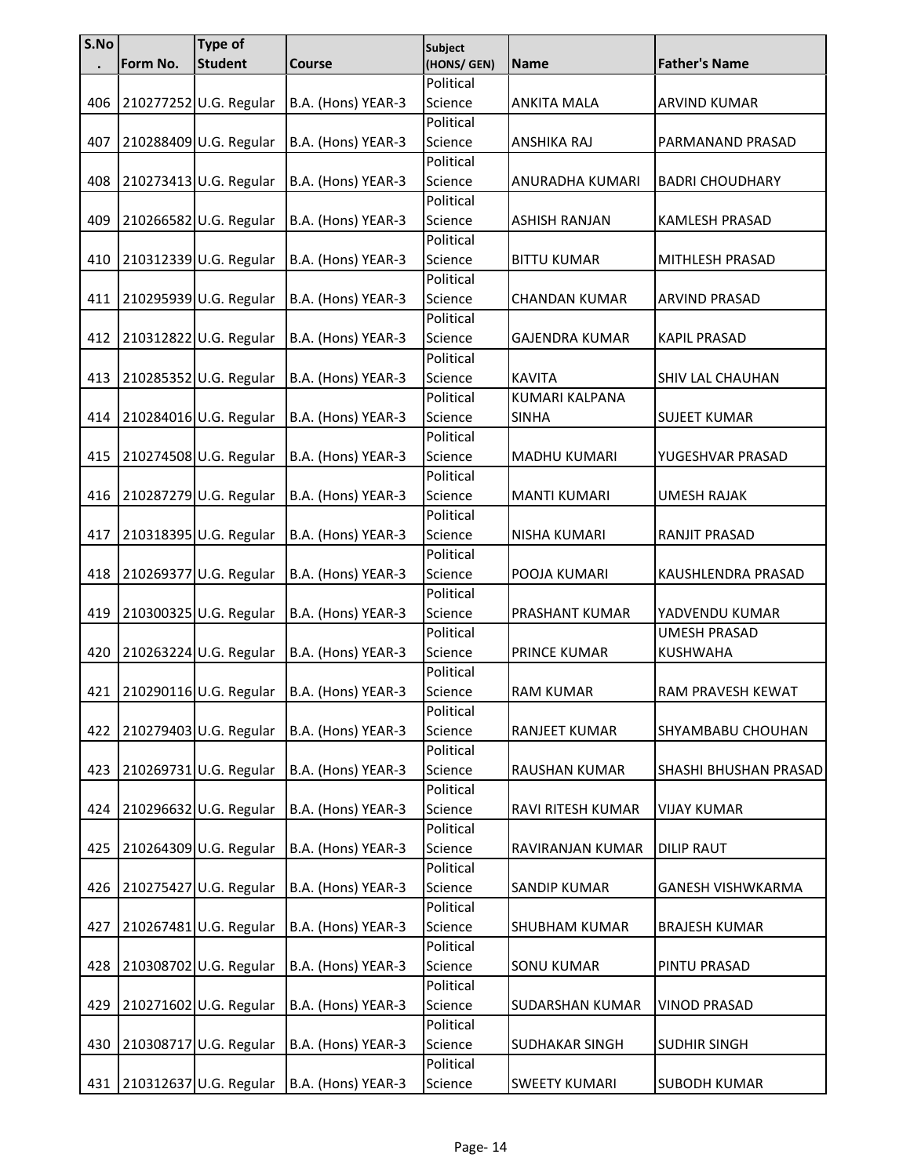| S.No |          | <b>Type of</b>         |                    | <b>Subject</b> |                       |                        |
|------|----------|------------------------|--------------------|----------------|-----------------------|------------------------|
|      | Form No. | <b>Student</b>         | <b>Course</b>      | (HONS/ GEN)    | Name                  | <b>Father's Name</b>   |
|      |          |                        |                    | Political      |                       |                        |
| 406  |          | 210277252 U.G. Regular | B.A. (Hons) YEAR-3 | Science        | <b>ANKITA MALA</b>    | ARVIND KUMAR           |
|      |          |                        |                    | Political      |                       |                        |
| 407  |          | 210288409 U.G. Regular | B.A. (Hons) YEAR-3 | Science        | ANSHIKA RAJ           | PARMANAND PRASAD       |
|      |          |                        |                    | Political      |                       |                        |
| 408  |          | 210273413 U.G. Regular | B.A. (Hons) YEAR-3 | Science        | ANURADHA KUMARI       | <b>BADRI CHOUDHARY</b> |
|      |          |                        |                    | Political      |                       |                        |
| 409  |          | 210266582 U.G. Regular | B.A. (Hons) YEAR-3 | Science        | <b>ASHISH RANJAN</b>  | <b>KAMLESH PRASAD</b>  |
|      |          |                        |                    | Political      |                       |                        |
| 410  |          | 210312339 U.G. Regular | B.A. (Hons) YEAR-3 | Science        | <b>BITTU KUMAR</b>    | MITHLESH PRASAD        |
|      |          |                        |                    | Political      |                       |                        |
| 411  |          | 210295939 U.G. Regular | B.A. (Hons) YEAR-3 | Science        | <b>CHANDAN KUMAR</b>  | ARVIND PRASAD          |
|      |          |                        |                    | Political      |                       |                        |
| 412  |          | 210312822 U.G. Regular | B.A. (Hons) YEAR-3 | Science        | GAJENDRA KUMAR        | <b>KAPIL PRASAD</b>    |
|      |          |                        |                    | Political      |                       |                        |
| 413  |          | 210285352 U.G. Regular | B.A. (Hons) YEAR-3 | Science        | <b>KAVITA</b>         | SHIV LAL CHAUHAN       |
|      |          |                        |                    | Political      | <b>KUMARI KALPANA</b> |                        |
| 414  |          | 210284016 U.G. Regular | B.A. (Hons) YEAR-3 | Science        | <b>SINHA</b>          | <b>SUJEET KUMAR</b>    |
|      |          |                        |                    | Political      |                       |                        |
| 415  |          | 210274508 U.G. Regular | B.A. (Hons) YEAR-3 | Science        | <b>MADHU KUMARI</b>   | YUGESHVAR PRASAD       |
|      |          |                        |                    | Political      |                       |                        |
| 416  |          | 210287279 U.G. Regular | B.A. (Hons) YEAR-3 | Science        | <b>MANTI KUMARI</b>   | <b>UMESH RAJAK</b>     |
|      |          |                        |                    | Political      |                       |                        |
| 417  |          | 210318395 U.G. Regular | B.A. (Hons) YEAR-3 | Science        | NISHA KUMARI          | RANJIT PRASAD          |
|      |          |                        |                    | Political      |                       |                        |
| 418  |          | 210269377 U.G. Regular | B.A. (Hons) YEAR-3 | Science        | POOJA KUMARI          | KAUSHLENDRA PRASAD     |
|      |          |                        |                    | Political      |                       |                        |
| 419  |          | 210300325 U.G. Regular | B.A. (Hons) YEAR-3 | Science        | PRASHANT KUMAR        | YADVENDU KUMAR         |
|      |          |                        |                    | Political      |                       | <b>UMESH PRASAD</b>    |
| 420  |          | 210263224 U.G. Regular | B.A. (Hons) YEAR-3 | Science        | PRINCE KUMAR          | <b>KUSHWAHA</b>        |
|      |          |                        |                    | Political      |                       |                        |
| 421  |          | 210290116 U.G. Regular | B.A. (Hons) YEAR-3 | Science        | <b>RAM KUMAR</b>      | RAM PRAVESH KEWAT      |
|      |          |                        |                    | Political      |                       |                        |
| 422  |          | 210279403 U.G. Regular | B.A. (Hons) YEAR-3 | Science        | RANJEET KUMAR         | SHYAMBABU CHOUHAN      |
|      |          |                        |                    | Political      |                       |                        |
| 423  |          | 210269731 U.G. Regular | B.A. (Hons) YEAR-3 | Science        | RAUSHAN KUMAR         | SHASHI BHUSHAN PRASAD  |
|      |          |                        |                    | Political      |                       |                        |
| 424  |          | 210296632 U.G. Regular | B.A. (Hons) YEAR-3 | Science        | RAVI RITESH KUMAR     | <b>VIJAY KUMAR</b>     |
|      |          |                        |                    | Political      |                       |                        |
| 425  |          | 210264309 U.G. Regular | B.A. (Hons) YEAR-3 | Science        | RAVIRANJAN KUMAR      | <b>DILIP RAUT</b>      |
|      |          |                        |                    | Political      |                       |                        |
| 426  |          | 210275427 U.G. Regular | B.A. (Hons) YEAR-3 | Science        | SANDIP KUMAR          | GANESH VISHWKARMA      |
|      |          |                        |                    | Political      |                       |                        |
| 427  |          | 210267481 U.G. Regular | B.A. (Hons) YEAR-3 | Science        | SHUBHAM KUMAR         | <b>BRAJESH KUMAR</b>   |
|      |          |                        |                    | Political      |                       |                        |
| 428  |          | 210308702 U.G. Regular | B.A. (Hons) YEAR-3 | Science        | <b>SONU KUMAR</b>     | PINTU PRASAD           |
|      |          |                        |                    | Political      |                       |                        |
| 429  |          | 210271602 U.G. Regular | B.A. (Hons) YEAR-3 | Science        | SUDARSHAN KUMAR       | <b>VINOD PRASAD</b>    |
|      |          |                        |                    | Political      |                       |                        |
| 430  |          | 210308717 U.G. Regular | B.A. (Hons) YEAR-3 | Science        | SUDHAKAR SINGH        | <b>SUDHIR SINGH</b>    |
|      |          |                        |                    | Political      |                       |                        |
| 431  |          | 210312637 U.G. Regular | B.A. (Hons) YEAR-3 | Science        | <b>SWEETY KUMARI</b>  | <b>SUBODH KUMAR</b>    |